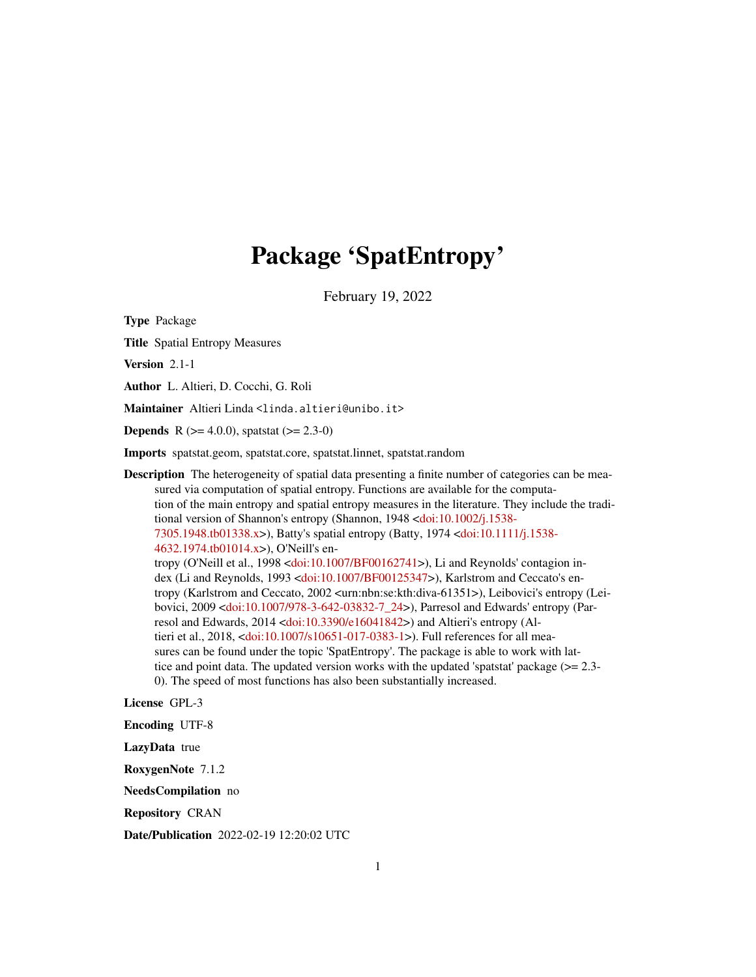# Package 'SpatEntropy'

February 19, 2022

Type Package

Title Spatial Entropy Measures

Version 2.1-1

Author L. Altieri, D. Cocchi, G. Roli

Maintainer Altieri Linda <linda.altieri@unibo.it>

**Depends** R ( $>= 4.0.0$ ), spatstat ( $>= 2.3-0$ )

Imports spatstat.geom, spatstat.core, spatstat.linnet, spatstat.random

Description The heterogeneity of spatial data presenting a finite number of categories can be measured via computation of spatial entropy. Functions are available for the computation of the main entropy and spatial entropy measures in the literature. They include the tradi-tional version of Shannon's entropy (Shannon, 1948 [<doi:10.1002/j.1538-](https://doi.org/10.1002/j.1538-7305.1948.tb01338.x) [7305.1948.tb01338.x>](https://doi.org/10.1002/j.1538-7305.1948.tb01338.x)), Batty's spatial entropy (Batty, 1974 [<doi:10.1111/j.1538-](https://doi.org/10.1111/j.1538-4632.1974.tb01014.x) [4632.1974.tb01014.x>](https://doi.org/10.1111/j.1538-4632.1974.tb01014.x)), O'Neill's entropy (O'Neill et al., 1998 [<doi:10.1007/BF00162741>](https://doi.org/10.1007/BF00162741)), Li and Reynolds' contagion index (Li and Reynolds, 1993 [<doi:10.1007/BF00125347>](https://doi.org/10.1007/BF00125347)), Karlstrom and Ceccato's entropy (Karlstrom and Ceccato, 2002 <urn:nbn:se:kth:diva-61351>), Leibovici's entropy (Leibovici, 2009 [<doi:10.1007/978-3-642-03832-7\\_24>](https://doi.org/10.1007/978-3-642-03832-7_24)), Parresol and Edwards' entropy (Parresol and Edwards, 2014 [<doi:10.3390/e16041842>](https://doi.org/10.3390/e16041842)) and Altieri's entropy (Altieri et al., 2018, [<doi:10.1007/s10651-017-0383-1>](https://doi.org/10.1007/s10651-017-0383-1)). Full references for all measures can be found under the topic 'SpatEntropy'. The package is able to work with lattice and point data. The updated version works with the updated 'spatstat' package  $(>= 2.3-$ 0). The speed of most functions has also been substantially increased.

License GPL-3

Encoding UTF-8

LazyData true

RoxygenNote 7.1.2

NeedsCompilation no

Repository CRAN

Date/Publication 2022-02-19 12:20:02 UTC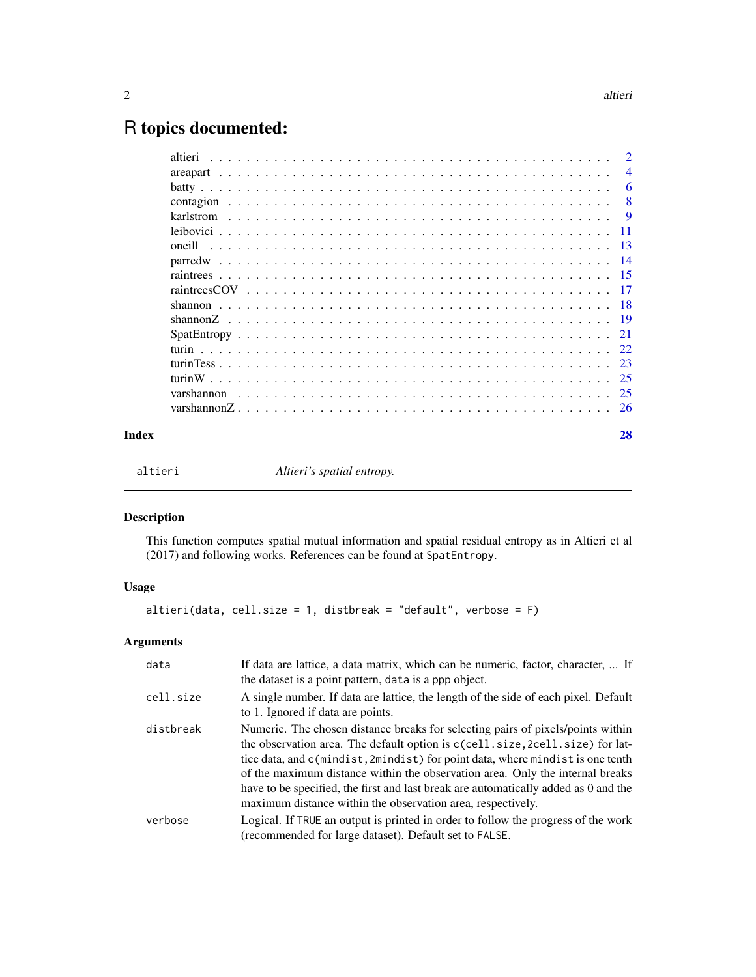## <span id="page-1-0"></span>R topics documented:

|       | altieri<br>$\mathcal{L}_{\mathcal{A}}(\mathcal{A})=\mathcal{L}_{\mathcal{A}}(\mathcal{A})=\mathcal{L}_{\mathcal{A}}(\mathcal{A})=\mathcal{L}_{\mathcal{A}}(\mathcal{A})=\mathcal{L}_{\mathcal{A}}(\mathcal{A})=\mathcal{L}_{\mathcal{A}}(\mathcal{A})=\mathcal{L}_{\mathcal{A}}(\mathcal{A})=\mathcal{L}_{\mathcal{A}}(\mathcal{A})=\mathcal{L}_{\mathcal{A}}(\mathcal{A})=\mathcal{L}_{\mathcal{A}}(\mathcal{A})=\mathcal{L}_{\mathcal{A}}(\mathcal{A})=\mathcal{L}_{\mathcal{A}}(\mathcal{A})=\mathcal{$ | $\overline{2}$ |
|-------|------------------------------------------------------------------------------------------------------------------------------------------------------------------------------------------------------------------------------------------------------------------------------------------------------------------------------------------------------------------------------------------------------------------------------------------------------------------------------------------------------------|----------------|
|       |                                                                                                                                                                                                                                                                                                                                                                                                                                                                                                            | $\overline{4}$ |
|       |                                                                                                                                                                                                                                                                                                                                                                                                                                                                                                            | - 6            |
|       |                                                                                                                                                                                                                                                                                                                                                                                                                                                                                                            | - 8            |
|       |                                                                                                                                                                                                                                                                                                                                                                                                                                                                                                            |                |
|       |                                                                                                                                                                                                                                                                                                                                                                                                                                                                                                            |                |
|       |                                                                                                                                                                                                                                                                                                                                                                                                                                                                                                            |                |
|       |                                                                                                                                                                                                                                                                                                                                                                                                                                                                                                            |                |
|       |                                                                                                                                                                                                                                                                                                                                                                                                                                                                                                            |                |
|       |                                                                                                                                                                                                                                                                                                                                                                                                                                                                                                            |                |
|       |                                                                                                                                                                                                                                                                                                                                                                                                                                                                                                            |                |
|       |                                                                                                                                                                                                                                                                                                                                                                                                                                                                                                            |                |
|       |                                                                                                                                                                                                                                                                                                                                                                                                                                                                                                            |                |
|       |                                                                                                                                                                                                                                                                                                                                                                                                                                                                                                            |                |
|       |                                                                                                                                                                                                                                                                                                                                                                                                                                                                                                            |                |
|       |                                                                                                                                                                                                                                                                                                                                                                                                                                                                                                            |                |
|       |                                                                                                                                                                                                                                                                                                                                                                                                                                                                                                            |                |
|       |                                                                                                                                                                                                                                                                                                                                                                                                                                                                                                            |                |
| Index |                                                                                                                                                                                                                                                                                                                                                                                                                                                                                                            | 28             |

altieri *Altieri's spatial entropy.*

#### Description

This function computes spatial mutual information and spatial residual entropy as in Altieri et al (2017) and following works. References can be found at SpatEntropy.

#### Usage

altieri(data, cell.size = 1, distbreak = "default", verbose = F)

### Arguments

| data      | If data are lattice, a data matrix, which can be numeric, factor, character,  If<br>the dataset is a point pattern, data is a ppp object.                                                                                                                                                                                                                                                                                                                                                 |
|-----------|-------------------------------------------------------------------------------------------------------------------------------------------------------------------------------------------------------------------------------------------------------------------------------------------------------------------------------------------------------------------------------------------------------------------------------------------------------------------------------------------|
| cell.size | A single number. If data are lattice, the length of the side of each pixel. Default<br>to 1. Ignored if data are points.                                                                                                                                                                                                                                                                                                                                                                  |
| distbreak | Numeric. The chosen distance breaks for selecting pairs of pixels/points within<br>the observation area. The default option is c(cell.size, 2cell.size) for lat-<br>tice data, and c(mindist, 2mindist) for point data, where mindist is one tenth<br>of the maximum distance within the observation area. Only the internal breaks<br>have to be specified, the first and last break are automatically added as 0 and the<br>maximum distance within the observation area, respectively. |
| verbose   | Logical. If TRUE an output is printed in order to follow the progress of the work<br>(recommended for large dataset). Default set to FALSE.                                                                                                                                                                                                                                                                                                                                               |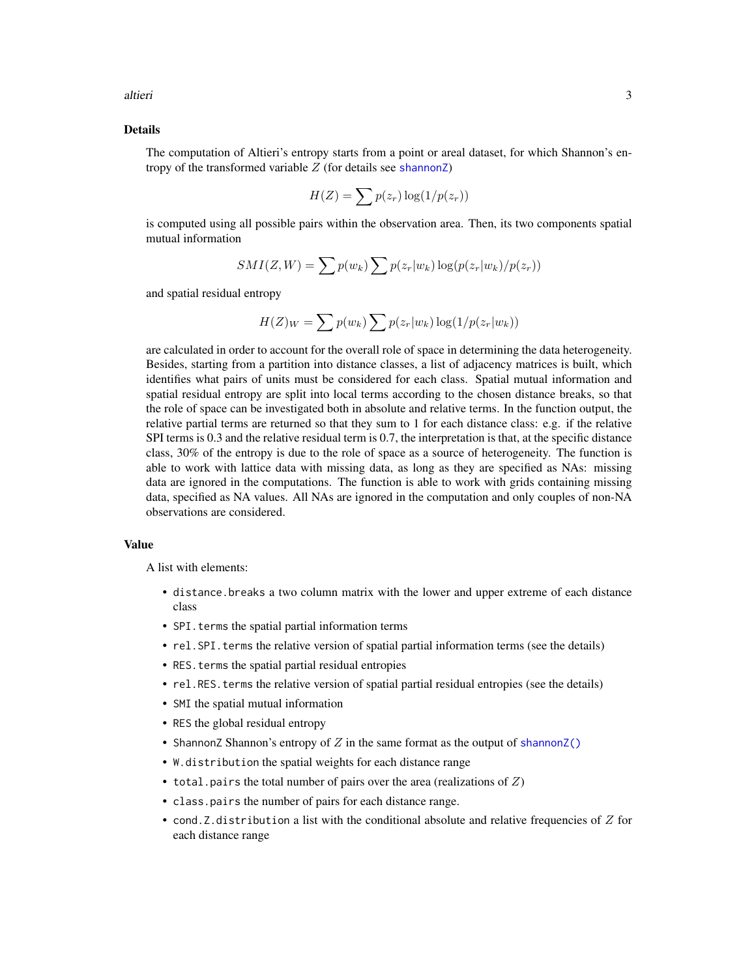<span id="page-2-0"></span>altieri 300 km saati kuningas ka kuningas ka sama saati sa maali kuningas ka sama saati sa sa sa sa sa sa sa s

#### Details

The computation of Altieri's entropy starts from a point or areal dataset, for which Shannon's entropy of the transformed variable  $Z$  (for details see shannon $Z$ )

$$
H(Z) = \sum p(z_r) \log(1/p(z_r))
$$

is computed using all possible pairs within the observation area. Then, its two components spatial mutual information

$$
SMI(Z, W) = \sum p(w_k) \sum p(z_r|w_k) \log(p(z_r|w_k)/p(z_r))
$$

and spatial residual entropy

$$
H(Z)_{W} = \sum p(w_k) \sum p(z_r|w_k) \log(1/p(z_r|w_k))
$$

are calculated in order to account for the overall role of space in determining the data heterogeneity. Besides, starting from a partition into distance classes, a list of adjacency matrices is built, which identifies what pairs of units must be considered for each class. Spatial mutual information and spatial residual entropy are split into local terms according to the chosen distance breaks, so that the role of space can be investigated both in absolute and relative terms. In the function output, the relative partial terms are returned so that they sum to 1 for each distance class: e.g. if the relative SPI terms is 0.3 and the relative residual term is 0.7, the interpretation is that, at the specific distance class, 30% of the entropy is due to the role of space as a source of heterogeneity. The function is able to work with lattice data with missing data, as long as they are specified as NAs: missing data are ignored in the computations. The function is able to work with grids containing missing data, specified as NA values. All NAs are ignored in the computation and only couples of non-NA observations are considered.

#### Value

A list with elements:

- distance.breaks a two column matrix with the lower and upper extreme of each distance class
- SPI. terms the spatial partial information terms
- rel. SPI. terms the relative version of spatial partial information terms (see the details)
- RES.terms the spatial partial residual entropies
- rel.RES.terms the relative version of spatial partial residual entropies (see the details)
- SMI the spatial mutual information
- RES the global residual entropy
- ShannonZ Shannon's entropy of  $Z$  in the same format as the output of [shannonZ\(\)](#page-18-1)
- W.distribution the spatial weights for each distance range
- total.pairs the total number of pairs over the area (realizations of  $Z$ )
- class.pairs the number of pairs for each distance range.
- cond. Z. distribution a list with the conditional absolute and relative frequencies of  $Z$  for each distance range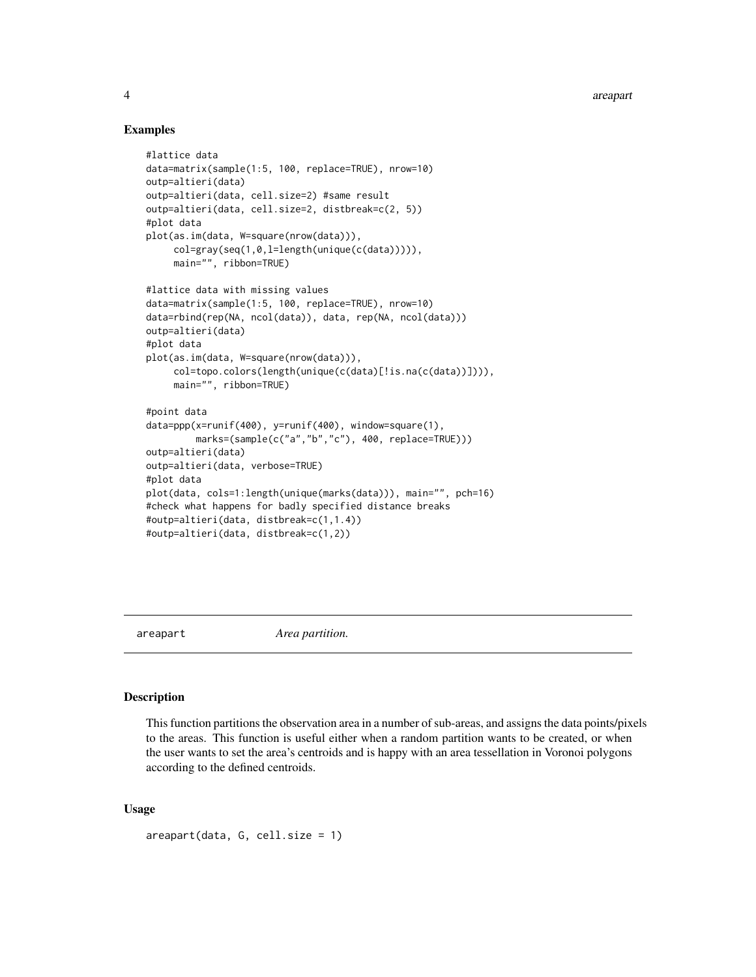#### Examples

```
#lattice data
data=matrix(sample(1:5, 100, replace=TRUE), nrow=10)
outp=altieri(data)
outp=altieri(data, cell.size=2) #same result
outp=altieri(data, cell.size=2, distbreak=c(2, 5))
#plot data
plot(as.im(data, W=square(nrow(data))),
     col=gray(seq(1,0,l=length(unique(c(data))))),
     main="", ribbon=TRUE)
#lattice data with missing values
data=matrix(sample(1:5, 100, replace=TRUE), nrow=10)
data=rbind(rep(NA, ncol(data)), data, rep(NA, ncol(data)))
outp=altieri(data)
#plot data
plot(as.im(data, W=square(nrow(data))),
     col=topo.colors(length(unique(c(data)[!is.na(c(data))]))),
     main="", ribbon=TRUE)
#point data
data=ppp(x=runif(400), y=runif(400), window=square(1),
         marks=(sample(c("a","b","c"), 400, replace=TRUE)))
outp=altieri(data)
outp=altieri(data, verbose=TRUE)
#plot data
plot(data, cols=1:length(unique(marks(data))), main="", pch=16)
#check what happens for badly specified distance breaks
#outp=altieri(data, distbreak=c(1,1.4))
#outp=altieri(data, distbreak=c(1,2))
```
<span id="page-3-1"></span>

areapart *Area partition.*

#### Description

This function partitions the observation area in a number of sub-areas, and assigns the data points/pixels to the areas. This function is useful either when a random partition wants to be created, or when the user wants to set the area's centroids and is happy with an area tessellation in Voronoi polygons according to the defined centroids.

#### Usage

```
areapart(data, G, cell.size = 1)
```
<span id="page-3-0"></span>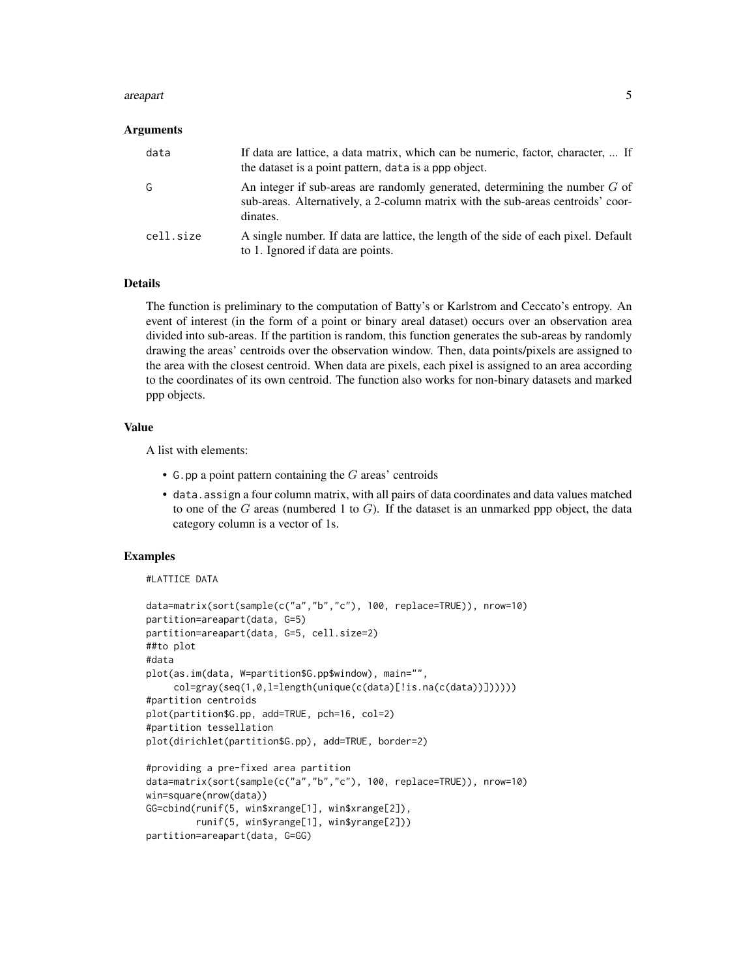#### are apart 5 to 3 and 3 and 3 and 3 and 3 and 3 and 3 and 3 and 3 and 3 and 3 and 3 and 3 and 3 and 3 and 3 and 3 and 3 and 3 and 3 and 3 and 3 and 3 and 3 and 3 and 3 and 3 and 3 and 3 and 3 and 3 and 3 and 3 and 3 and 3 a

#### Arguments

| data      | If data are lattice, a data matrix, which can be numeric, factor, character,  If<br>the dataset is a point pattern, data is a ppp object.                                    |
|-----------|------------------------------------------------------------------------------------------------------------------------------------------------------------------------------|
| G         | An integer if sub-areas are randomly generated, determining the number $G$ of<br>sub-areas. Alternatively, a 2-column matrix with the sub-areas centroids' coor-<br>dinates. |
| cell.size | A single number. If data are lattice, the length of the side of each pixel. Default<br>to 1. Ignored if data are points.                                                     |

#### Details

The function is preliminary to the computation of Batty's or Karlstrom and Ceccato's entropy. An event of interest (in the form of a point or binary areal dataset) occurs over an observation area divided into sub-areas. If the partition is random, this function generates the sub-areas by randomly drawing the areas' centroids over the observation window. Then, data points/pixels are assigned to the area with the closest centroid. When data are pixels, each pixel is assigned to an area according to the coordinates of its own centroid. The function also works for non-binary datasets and marked ppp objects.

#### Value

A list with elements:

- G.pp a point pattern containing the  $G$  areas' centroids
- data.assign a four column matrix, with all pairs of data coordinates and data values matched to one of the  $G$  areas (numbered 1 to  $G$ ). If the dataset is an unmarked ppp object, the data category column is a vector of 1s.

#### Examples

```
#LATTICE DATA
```

```
data=matrix(sort(sample(c("a","b","c"), 100, replace=TRUE)), nrow=10)
partition=areapart(data, G=5)
partition=areapart(data, G=5, cell.size=2)
##to plot
#data
plot(as.im(data, W=partition$G.pp$window), main="",
     col=gray(seq(1,0,l=length(unique(c(data)[!is.na(c(data))])))))
#partition centroids
plot(partition$G.pp, add=TRUE, pch=16, col=2)
#partition tessellation
plot(dirichlet(partition$G.pp), add=TRUE, border=2)
#providing a pre-fixed area partition
data=matrix(sort(sample(c("a","b","c"), 100, replace=TRUE)), nrow=10)
win=square(nrow(data))
GG=cbind(runif(5, win$xrange[1], win$xrange[2]),
         runif(5, win$yrange[1], win$yrange[2]))
partition=areapart(data, G=GG)
```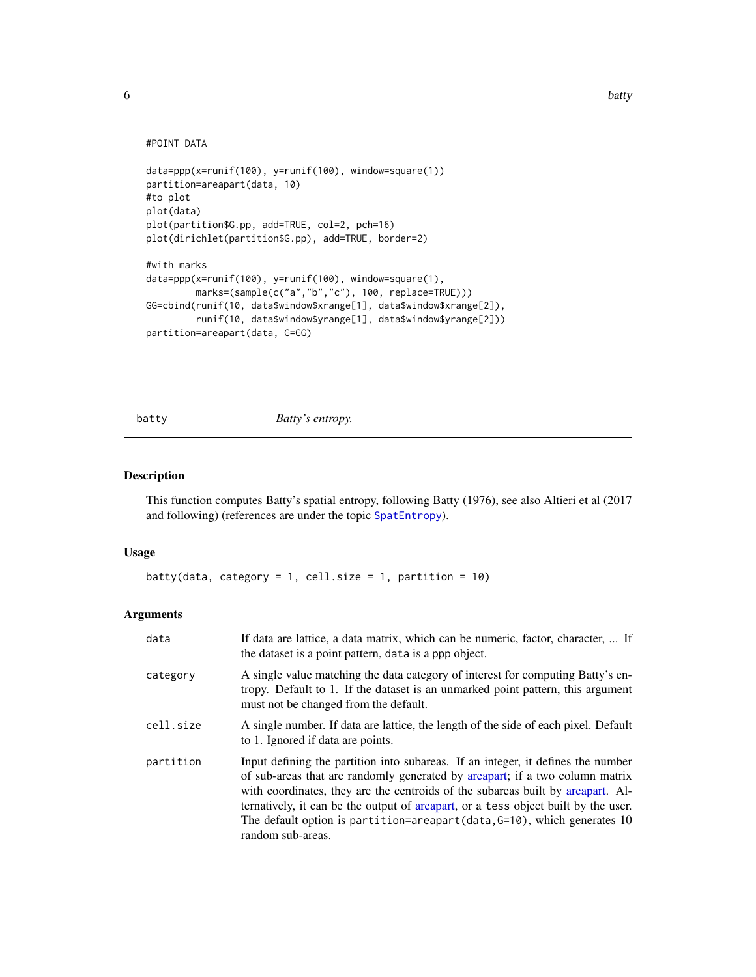```
#POINT DATA
```

```
data=ppp(x=runif(100), y=runif(100), window=square(1))
partition=areapart(data, 10)
#to plot
plot(data)
plot(partition$G.pp, add=TRUE, col=2, pch=16)
plot(dirichlet(partition$G.pp), add=TRUE, border=2)
#with marks
data=ppp(x=runif(100), y=runif(100), window=square(1),
         marks=(sample(c("a","b","c"), 100, replace=TRUE)))
GG=cbind(runif(10, data$window$xrange[1], data$window$xrange[2]),
         runif(10, data$window$yrange[1], data$window$yrange[2]))
partition=areapart(data, G=GG)
```
<span id="page-5-1"></span>batty *Batty's entropy.*

#### Description

This function computes Batty's spatial entropy, following Batty (1976), see also Altieri et al (2017 and following) (references are under the topic [SpatEntropy](#page-20-1)).

#### Usage

```
batty(data, category = 1, cell.size = 1, partition = 10)
```
#### Arguments

| data      | If data are lattice, a data matrix, which can be numeric, factor, character,  If<br>the dataset is a point pattern, data is a ppp object.                                                                                                                                                                                                                                                                                                     |
|-----------|-----------------------------------------------------------------------------------------------------------------------------------------------------------------------------------------------------------------------------------------------------------------------------------------------------------------------------------------------------------------------------------------------------------------------------------------------|
| category  | A single value matching the data category of interest for computing Batty's en-<br>tropy. Default to 1. If the dataset is an unmarked point pattern, this argument<br>must not be changed from the default.                                                                                                                                                                                                                                   |
| cell.size | A single number. If data are lattice, the length of the side of each pixel. Default<br>to 1. Ignored if data are points.                                                                                                                                                                                                                                                                                                                      |
| partition | Input defining the partition into subareas. If an integer, it defines the number<br>of sub-areas that are randomly generated by areapart; if a two column matrix<br>with coordinates, they are the centroids of the subareas built by areapart. Al-<br>ternatively, it can be the output of areapart, or a tess object built by the user.<br>The default option is partition=areapart(data, $G=10$ ), which generates 10<br>random sub-areas. |

<span id="page-5-0"></span>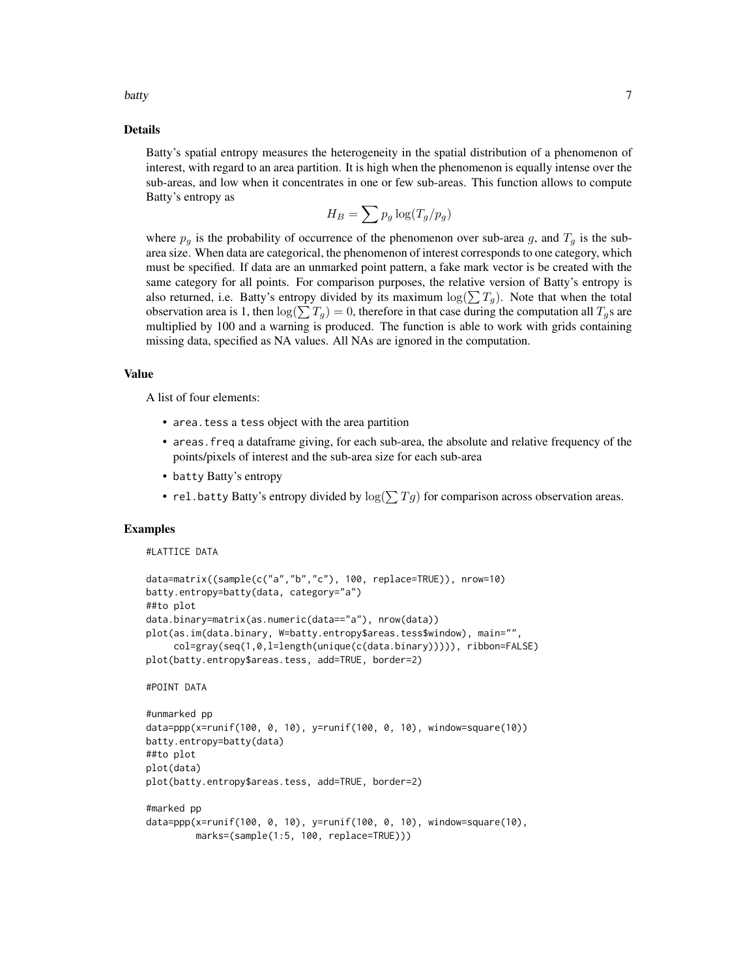batty 7 and 2008 and 2008 and 2008 and 2008 and 2008 and 2008 and 2008 and 2008 and 2008 and 2008 and 2008 and 2008 and 2008 and 2008 and 2008 and 2008 and 2008 and 2008 and 2008 and 2008 and 2008 and 2008 and 2008 and 200

#### Details

Batty's spatial entropy measures the heterogeneity in the spatial distribution of a phenomenon of interest, with regard to an area partition. It is high when the phenomenon is equally intense over the sub-areas, and low when it concentrates in one or few sub-areas. This function allows to compute Batty's entropy as

$$
H_B = \sum p_g \log(T_g/p_g)
$$

where  $p<sub>g</sub>$  is the probability of occurrence of the phenomenon over sub-area g, and  $T<sub>g</sub>$  is the subarea size. When data are categorical, the phenomenon of interest corresponds to one category, which must be specified. If data are an unmarked point pattern, a fake mark vector is be created with the same category for all points. For comparison purposes, the relative version of Batty's entropy is also returned, i.e. Batty's entropy divided by its maximum  $\log(\sum T_q)$ . Note that when the total observation area is 1, then  $\log(\sum T_q) = 0$ , therefore in that case during the computation all  $T_q$ s are multiplied by 100 and a warning is produced. The function is able to work with grids containing missing data, specified as NA values. All NAs are ignored in the computation.

#### Value

A list of four elements:

- area. tess a tess object with the area partition
- areas.freq a dataframe giving, for each sub-area, the absolute and relative frequency of the points/pixels of interest and the sub-area size for each sub-area
- batty Batty's entropy
- rel.batty Batty's entropy divided by  $\log(\sum T g)$  for comparison across observation areas.

#### Examples

#### #LATTICE DATA

```
data=matrix((sample(c("a","b","c"), 100, replace=TRUE)), nrow=10)
batty.entropy=batty(data, category="a")
##to plot
data.binary=matrix(as.numeric(data=="a"), nrow(data))
plot(as.im(data.binary, W=batty.entropy$areas.tess$window), main="",
    col=gray(seq(1,0,l=length(unique(c(data.binary))))), ribbon=FALSE)
plot(batty.entropy$areas.tess, add=TRUE, border=2)
#POINT DATA
#unmarked pp
data=ppp(x=runif(100, 0, 10), y=runif(100, 0, 10), window=square(10))
batty.entropy=batty(data)
##to plot
plot(data)
plot(batty.entropy$areas.tess, add=TRUE, border=2)
#marked pp
```

```
data=ppp(x=runif(100, 0, 10), y=runif(100, 0, 10), window=square(10),
        marks=(sample(1:5, 100, replace=TRUE)))
```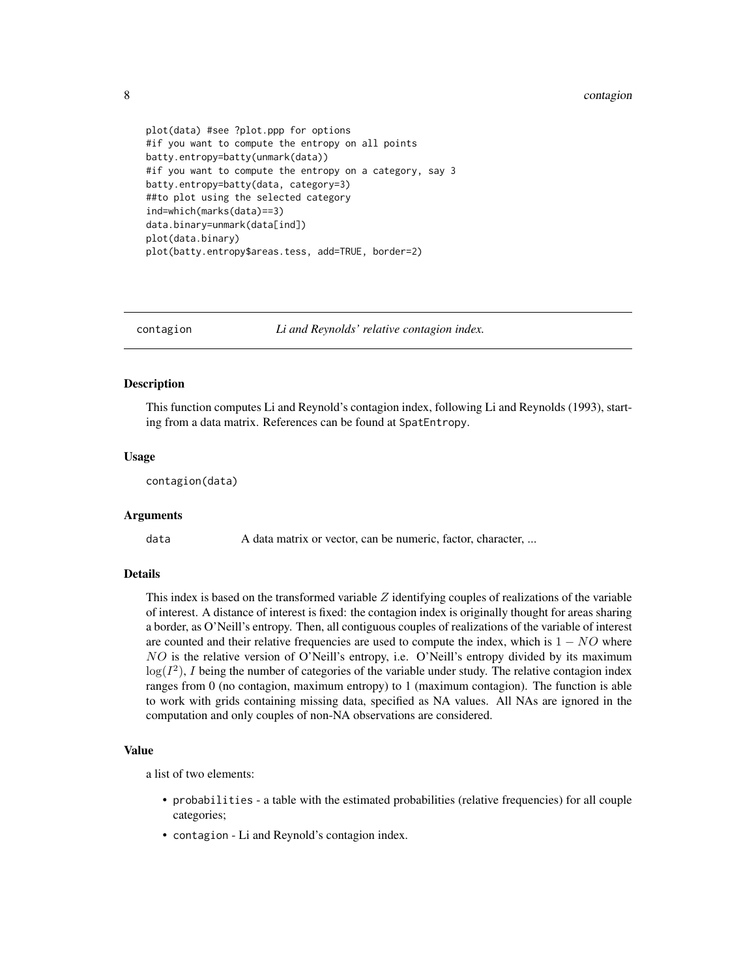```
plot(data) #see ?plot.ppp for options
#if you want to compute the entropy on all points
batty.entropy=batty(unmark(data))
#if you want to compute the entropy on a category, say 3
batty.entropy=batty(data, category=3)
##to plot using the selected category
ind=which(marks(data)==3)
data.binary=unmark(data[ind])
plot(data.binary)
plot(batty.entropy$areas.tess, add=TRUE, border=2)
```
contagion *Li and Reynolds' relative contagion index.*

#### **Description**

This function computes Li and Reynold's contagion index, following Li and Reynolds (1993), starting from a data matrix. References can be found at SpatEntropy.

#### Usage

contagion(data)

#### **Arguments**

data A data matrix or vector, can be numeric, factor, character, ...

#### Details

This index is based on the transformed variable  $Z$  identifying couples of realizations of the variable of interest. A distance of interest is fixed: the contagion index is originally thought for areas sharing a border, as O'Neill's entropy. Then, all contiguous couples of realizations of the variable of interest are counted and their relative frequencies are used to compute the index, which is  $1 - NO$  where NO is the relative version of O'Neill's entropy, i.e. O'Neill's entropy divided by its maximum  $log(I^2)$ , I being the number of categories of the variable under study. The relative contagion index ranges from 0 (no contagion, maximum entropy) to 1 (maximum contagion). The function is able to work with grids containing missing data, specified as NA values. All NAs are ignored in the computation and only couples of non-NA observations are considered.

#### Value

a list of two elements:

- probabilities a table with the estimated probabilities (relative frequencies) for all couple categories;
- contagion Li and Reynold's contagion index.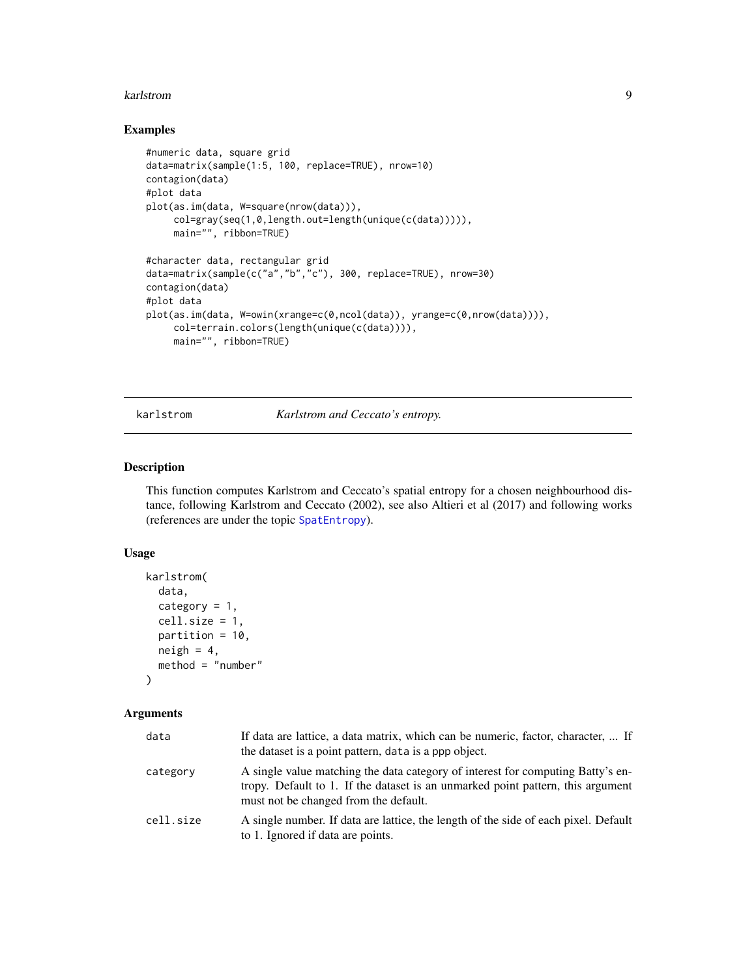#### <span id="page-8-0"></span>karlstrom 9

#### Examples

```
#numeric data, square grid
data=matrix(sample(1:5, 100, replace=TRUE), nrow=10)
contagion(data)
#plot data
plot(as.im(data, W=square(nrow(data))),
     col=gray(seq(1,0,length.out=length(unique(c(data))))),
     main="", ribbon=TRUE)
#character data, rectangular grid
data=matrix(sample(c("a","b","c"), 300, replace=TRUE), nrow=30)
contagion(data)
#plot data
plot(as.im(data, W=owin(xrange=c(0,ncol(data)), yrange=c(0,nrow(data)))),
     col=terrain.colors(length(unique(c(data)))),
     main="", ribbon=TRUE)
```
karlstrom *Karlstrom and Ceccato's entropy.*

#### Description

This function computes Karlstrom and Ceccato's spatial entropy for a chosen neighbourhood distance, following Karlstrom and Ceccato (2002), see also Altieri et al (2017) and following works (references are under the topic [SpatEntropy](#page-20-1)).

#### Usage

```
karlstrom(
  data,
  category = 1,
  cell.size = 1,
 partition = 10,
 neigh = 4,method = "number"
```

```
\lambda
```
#### Arguments

| data      | If data are lattice, a data matrix, which can be numeric, factor, character,  If<br>the dataset is a point pattern, data is a ppp object.                                                                   |
|-----------|-------------------------------------------------------------------------------------------------------------------------------------------------------------------------------------------------------------|
| category  | A single value matching the data category of interest for computing Batty's en-<br>tropy. Default to 1. If the dataset is an unmarked point pattern, this argument<br>must not be changed from the default. |
| cell.size | A single number. If data are lattice, the length of the side of each pixel. Default<br>to 1. Ignored if data are points.                                                                                    |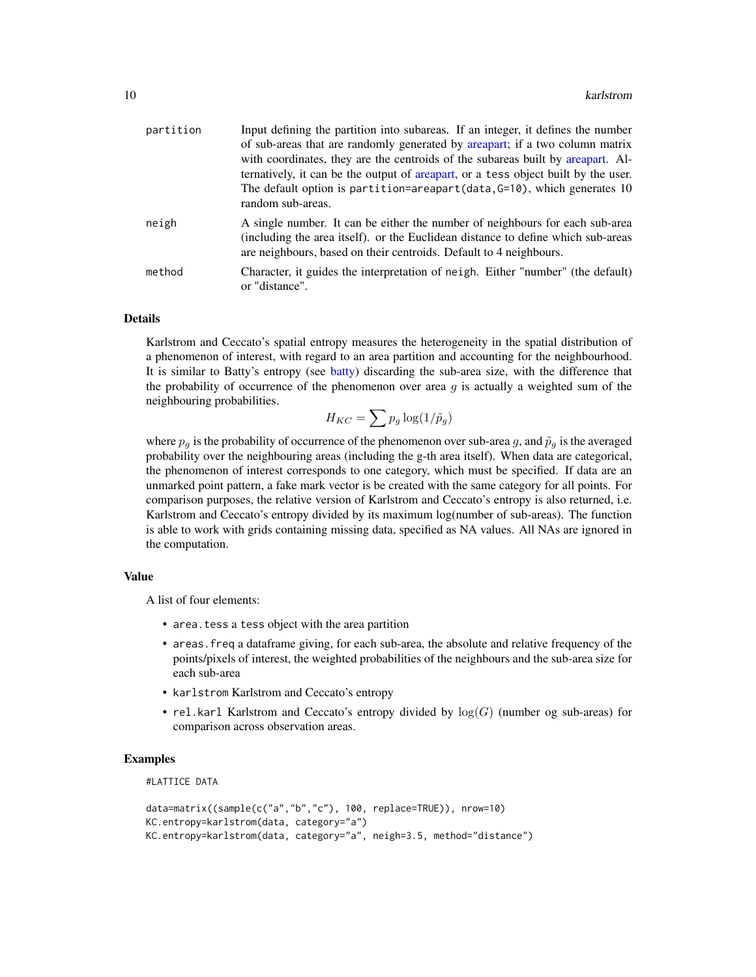<span id="page-9-0"></span>

| partition | Input defining the partition into subareas. If an integer, it defines the number                                                                                                                                                       |
|-----------|----------------------------------------------------------------------------------------------------------------------------------------------------------------------------------------------------------------------------------------|
|           | of sub-areas that are randomly generated by areapart; if a two column matrix                                                                                                                                                           |
|           | with coordinates, they are the centroids of the subareas built by areapart. Al-                                                                                                                                                        |
|           | ternatively, it can be the output of areapart, or a tess object built by the user.                                                                                                                                                     |
|           | The default option is partition=areapart(data, $G=10$ ), which generates 10<br>random sub-areas.                                                                                                                                       |
| neigh     | A single number. It can be either the number of neighbours for each sub-area<br>(including the area itself). or the Euclidean distance to define which sub-areas<br>are neighbours, based on their centroids. Default to 4 neighbours. |
| method    | Character, it guides the interpretation of neigh. Either "number" (the default)<br>or "distance".                                                                                                                                      |

#### Details

Karlstrom and Ceccato's spatial entropy measures the heterogeneity in the spatial distribution of a phenomenon of interest, with regard to an area partition and accounting for the neighbourhood. It is similar to Batty's entropy (see [batty\)](#page-5-1) discarding the sub-area size, with the difference that the probability of occurrence of the phenomenon over area  $g$  is actually a weighted sum of the neighbouring probabilities.

$$
H_{KC} = \sum p_g \log(1/\tilde{p}_g)
$$

where  $p_q$  is the probability of occurrence of the phenomenon over sub-area g, and  $\tilde{p}_q$  is the averaged probability over the neighbouring areas (including the g-th area itself). When data are categorical, the phenomenon of interest corresponds to one category, which must be specified. If data are an unmarked point pattern, a fake mark vector is be created with the same category for all points. For comparison purposes, the relative version of Karlstrom and Ceccato's entropy is also returned, i.e. Karlstrom and Ceccato's entropy divided by its maximum log(number of sub-areas). The function is able to work with grids containing missing data, specified as NA values. All NAs are ignored in the computation.

#### Value

A list of four elements:

- area.tess a tess object with the area partition
- areas.freq a dataframe giving, for each sub-area, the absolute and relative frequency of the points/pixels of interest, the weighted probabilities of the neighbours and the sub-area size for each sub-area
- karlstrom Karlstrom and Ceccato's entropy
- rel.karl Karlstrom and Ceccato's entropy divided by  $log(G)$  (number og sub-areas) for comparison across observation areas.

#### Examples

#LATTICE DATA

```
data=matrix((sample(c("a","b","c"), 100, replace=TRUE)), nrow=10)
KC.entropy=karlstrom(data, category="a")
KC.entropy=karlstrom(data, category="a", neigh=3.5, method="distance")
```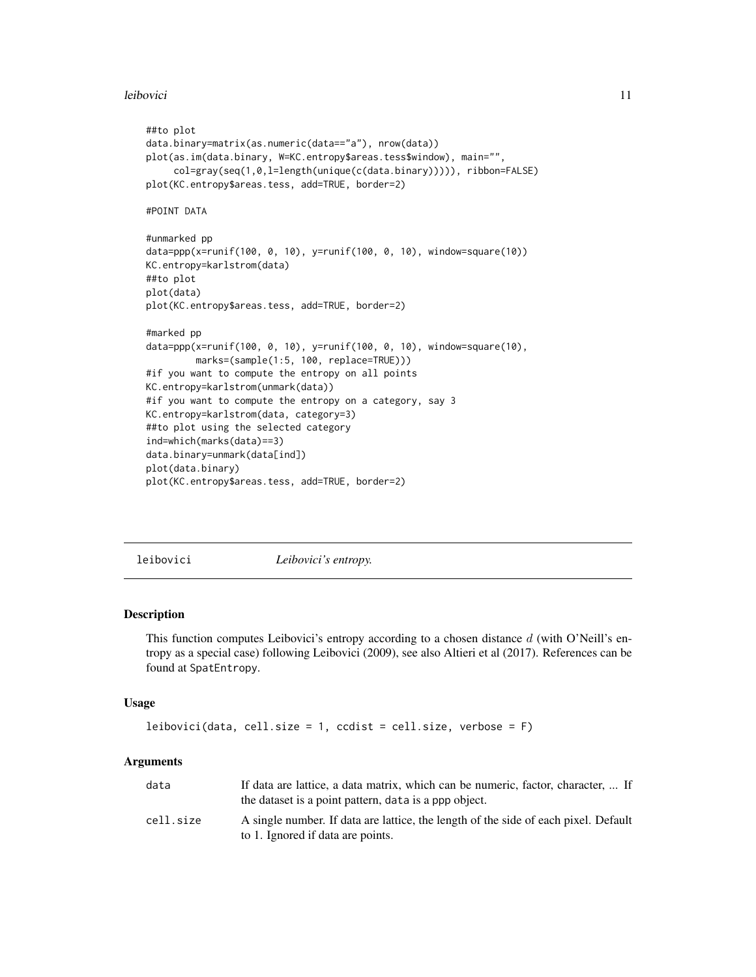#### <span id="page-10-0"></span>leibovici 11

```
##to plot
data.binary=matrix(as.numeric(data=="a"), nrow(data))
plot(as.im(data.binary, W=KC.entropy$areas.tess$window), main="",
     col=gray(seq(1,0,l=length(unique(c(data.binary))))), ribbon=FALSE)
plot(KC.entropy$areas.tess, add=TRUE, border=2)
#POINT DATA
#unmarked pp
data=ppp(x=runif(100, 0, 10), y=runif(100, 0, 10), window=square(10))
KC.entropy=karlstrom(data)
##to plot
plot(data)
plot(KC.entropy$areas.tess, add=TRUE, border=2)
#marked pp
data=ppp(x=runif(100, 0, 10), y=runif(100, 0, 10), window=square(10),
         marks=(sample(1:5, 100, replace=TRUE)))
#if you want to compute the entropy on all points
KC.entropy=karlstrom(unmark(data))
#if you want to compute the entropy on a category, say 3
KC.entropy=karlstrom(data, category=3)
##to plot using the selected category
ind=which(marks(data)==3)
data.binary=unmark(data[ind])
plot(data.binary)
plot(KC.entropy$areas.tess, add=TRUE, border=2)
```
leibovici *Leibovici's entropy.*

#### Description

This function computes Leibovici's entropy according to a chosen distance  $d$  (with O'Neill's entropy as a special case) following Leibovici (2009), see also Altieri et al (2017). References can be found at SpatEntropy.

#### Usage

```
leibovici(data, cell.size = 1, ccdist = cell.size, verbose = F)
```
#### **Arguments**

| data      | If data are lattice, a data matrix, which can be numeric, factor, character,  If<br>the dataset is a point pattern, data is a ppp object. |
|-----------|-------------------------------------------------------------------------------------------------------------------------------------------|
| cell.size | A single number. If data are lattice, the length of the side of each pixel. Default<br>to 1. Ignored if data are points.                  |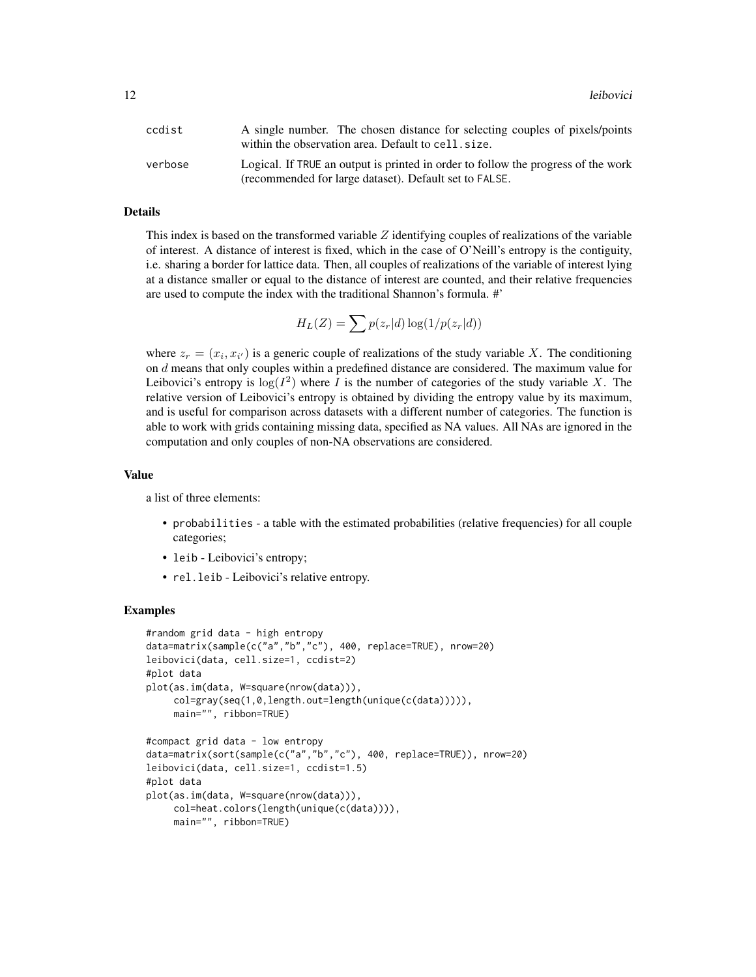| ccdist  | A single number. The chosen distance for selecting couples of pixels/points<br>within the observation area. Default to cell. size.          |
|---------|---------------------------------------------------------------------------------------------------------------------------------------------|
| verbose | Logical. If TRUE an output is printed in order to follow the progress of the work<br>(recommended for large dataset). Default set to FALSE. |

#### Details

This index is based on the transformed variable  $Z$  identifying couples of realizations of the variable of interest. A distance of interest is fixed, which in the case of O'Neill's entropy is the contiguity, i.e. sharing a border for lattice data. Then, all couples of realizations of the variable of interest lying at a distance smaller or equal to the distance of interest are counted, and their relative frequencies are used to compute the index with the traditional Shannon's formula. #'

$$
H_L(Z) = \sum p(z_r|d) \log(1/p(z_r|d))
$$

where  $z_r = (x_i, x_{i'})$  is a generic couple of realizations of the study variable X. The conditioning on d means that only couples within a predefined distance are considered. The maximum value for Leibovici's entropy is  $log(I^2)$  where I is the number of categories of the study variable X. The relative version of Leibovici's entropy is obtained by dividing the entropy value by its maximum, and is useful for comparison across datasets with a different number of categories. The function is able to work with grids containing missing data, specified as NA values. All NAs are ignored in the computation and only couples of non-NA observations are considered.

#### Value

a list of three elements:

- probabilities a table with the estimated probabilities (relative frequencies) for all couple categories;
- leib Leibovici's entropy;
- rel.leib Leibovici's relative entropy.

#### Examples

```
#random grid data - high entropy
data=matrix(sample(c("a","b","c"), 400, replace=TRUE), nrow=20)
leibovici(data, cell.size=1, ccdist=2)
#plot data
plot(as.im(data, W=square(nrow(data))),
     col=gray(seq(1,0,length.out=length(unique(c(data))))),
     main="", ribbon=TRUE)
#compact grid data - low entropy
data=matrix(sort(sample(c("a","b","c"), 400, replace=TRUE)), nrow=20)
leibovici(data, cell.size=1, ccdist=1.5)
#plot data
plot(as.im(data, W=square(nrow(data))),
     col=heat.colors(length(unique(c(data)))),
     main="", ribbon=TRUE)
```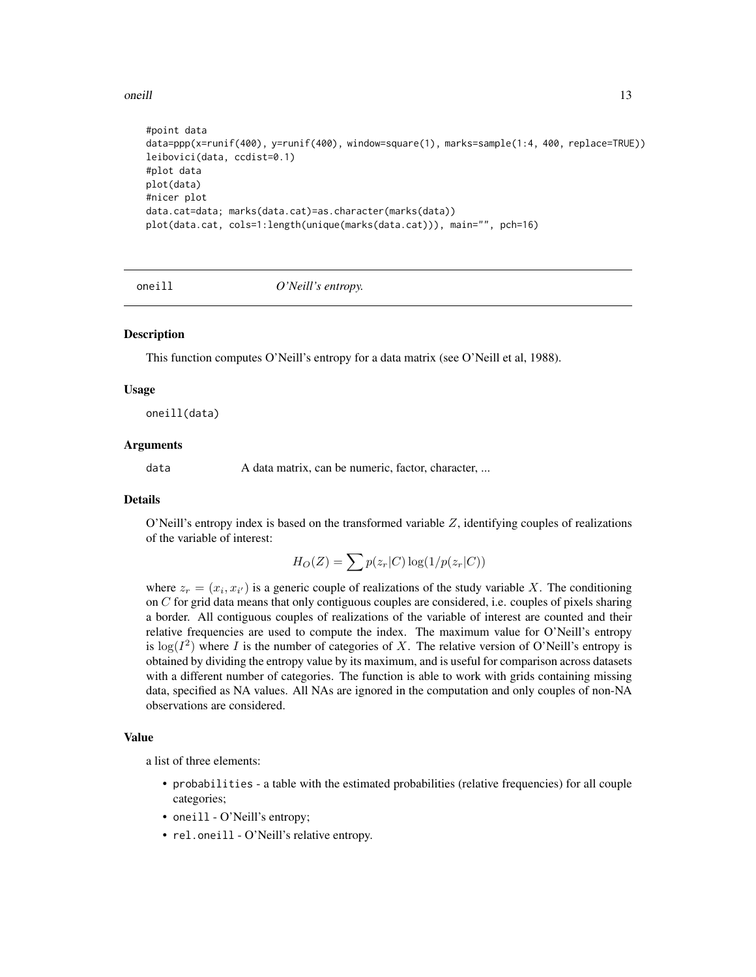#### <span id="page-12-0"></span>oneill and the contract of the contract of the contract of the contract of the contract of the contract of the contract of the contract of the contract of the contract of the contract of the contract of the contract of the

```
#point data
data=ppp(x=runif(400), y=runif(400), window=square(1), marks=sample(1:4, 400, replace=TRUE))
leibovici(data, ccdist=0.1)
#plot data
plot(data)
#nicer plot
data.cat=data; marks(data.cat)=as.character(marks(data))
plot(data.cat, cols=1:length(unique(marks(data.cat))), main="", pch=16)
```
oneill *O'Neill's entropy.*

#### **Description**

This function computes O'Neill's entropy for a data matrix (see O'Neill et al, 1988).

#### Usage

oneill(data)

#### Arguments

data A data matrix, can be numeric, factor, character, ...

#### Details

O'Neill's entropy index is based on the transformed variable  $Z$ , identifying couples of realizations of the variable of interest:

$$
H_O(Z) = \sum p(z_r|C) \log(1/p(z_r|C))
$$

where  $z_r = (x_i, x_{i'})$  is a generic couple of realizations of the study variable X. The conditioning on  $C$  for grid data means that only contiguous couples are considered, i.e. couples of pixels sharing a border. All contiguous couples of realizations of the variable of interest are counted and their relative frequencies are used to compute the index. The maximum value for O'Neill's entropy is  $log(I^2)$  where I is the number of categories of X. The relative version of O'Neill's entropy is obtained by dividing the entropy value by its maximum, and is useful for comparison across datasets with a different number of categories. The function is able to work with grids containing missing data, specified as NA values. All NAs are ignored in the computation and only couples of non-NA observations are considered.

#### Value

a list of three elements:

- probabilities a table with the estimated probabilities (relative frequencies) for all couple categories;
- oneill O'Neill's entropy;
- rel.oneill O'Neill's relative entropy.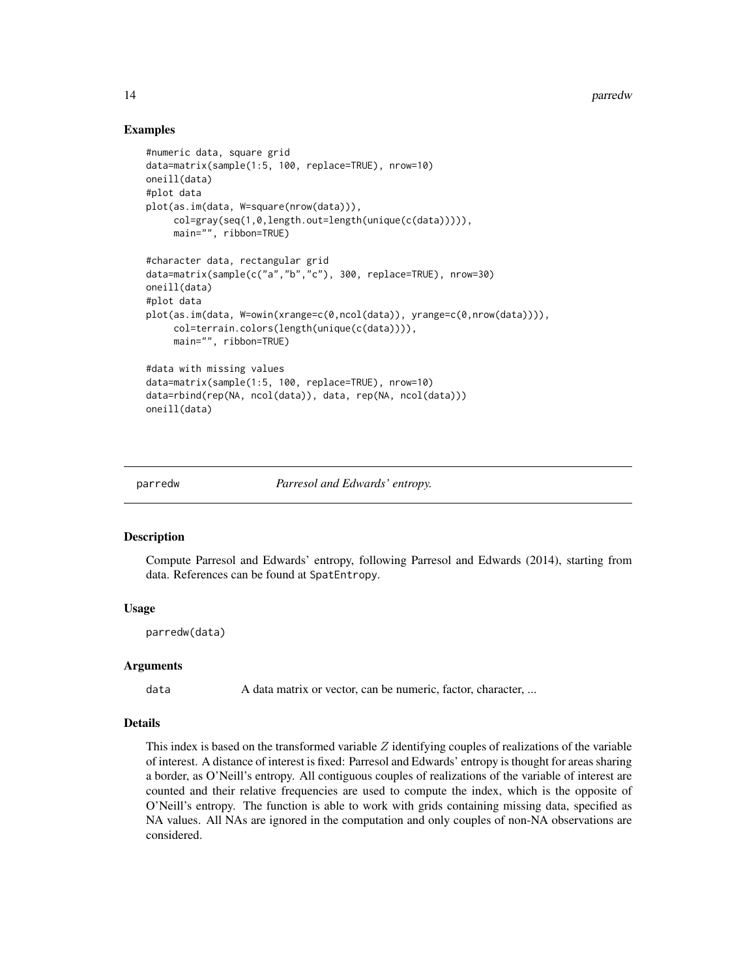#### Examples

```
#numeric data, square grid
data=matrix(sample(1:5, 100, replace=TRUE), nrow=10)
oneill(data)
#plot data
plot(as.im(data, W=square(nrow(data))),
     col=gray(seq(1,0,length.out=length(unique(c(data))))),
     main="", ribbon=TRUE)
#character data, rectangular grid
data=matrix(sample(c("a","b","c"), 300, replace=TRUE), nrow=30)
oneill(data)
#plot data
plot(as.im(data, W=owin(xrange=c(0,ncol(data)), yrange=c(0,nrow(data)))),
     col=terrain.colors(length(unique(c(data)))),
     main="", ribbon=TRUE)
#data with missing values
data=matrix(sample(1:5, 100, replace=TRUE), nrow=10)
data=rbind(rep(NA, ncol(data)), data, rep(NA, ncol(data)))
oneill(data)
```
parredw *Parresol and Edwards' entropy.*

#### Description

Compute Parresol and Edwards' entropy, following Parresol and Edwards (2014), starting from data. References can be found at SpatEntropy.

#### Usage

parredw(data)

#### Arguments

data A data matrix or vector, can be numeric, factor, character, ...

#### Details

This index is based on the transformed variable  $Z$  identifying couples of realizations of the variable of interest. A distance of interest is fixed: Parresol and Edwards' entropy is thought for areas sharing a border, as O'Neill's entropy. All contiguous couples of realizations of the variable of interest are counted and their relative frequencies are used to compute the index, which is the opposite of O'Neill's entropy. The function is able to work with grids containing missing data, specified as NA values. All NAs are ignored in the computation and only couples of non-NA observations are considered.

<span id="page-13-0"></span>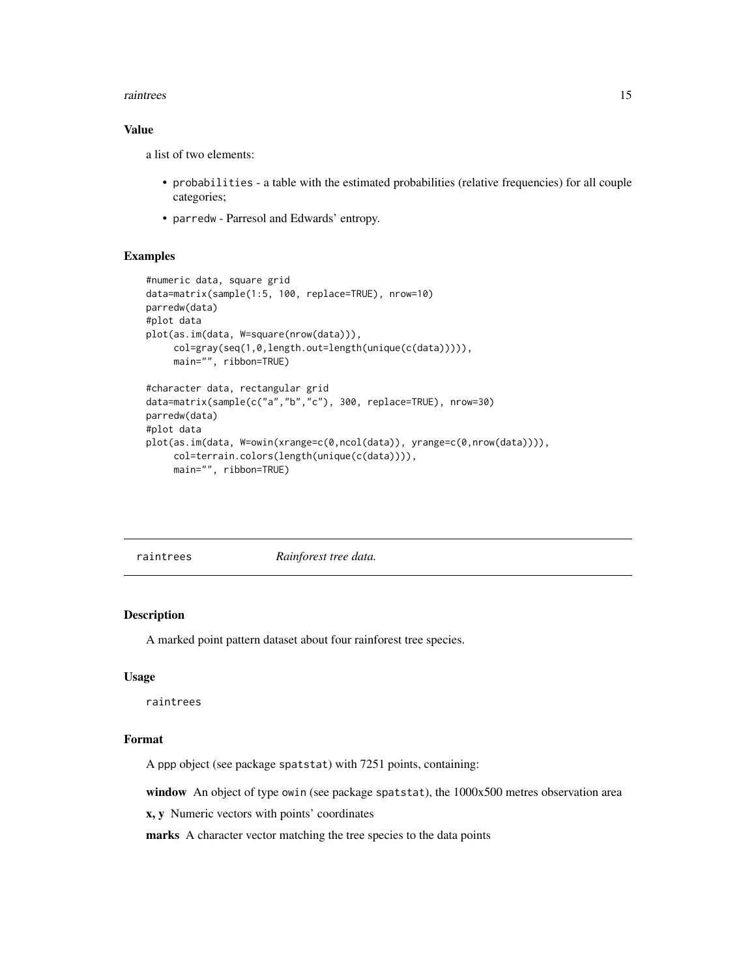#### <span id="page-14-0"></span>raintrees and the contract of the contract of the contract of the contract of the contract of the contract of the contract of the contract of the contract of the contract of the contract of the contract of the contract of

#### Value

a list of two elements:

- probabilities a table with the estimated probabilities (relative frequencies) for all couple categories;
- parredw Parresol and Edwards' entropy.

#### Examples

```
#numeric data, square grid
data=matrix(sample(1:5, 100, replace=TRUE), nrow=10)
parredw(data)
#plot data
plot(as.im(data, W=square(nrow(data))),
     col=gray(seq(1,0,length.out=length(unique(c(data))))),
     main="", ribbon=TRUE)
#character data, rectangular grid
data=matrix(sample(c("a","b","c"), 300, replace=TRUE), nrow=30)
parredw(data)
#plot data
plot(as.im(data, W=owin(xrange=c(0,ncol(data)), yrange=c(0,nrow(data)))),
     col=terrain.colors(length(unique(c(data)))),
    main="", ribbon=TRUE)
```
<span id="page-14-1"></span>raintrees *Rainforest tree data.*

#### Description

A marked point pattern dataset about four rainforest tree species.

#### Usage

raintrees

#### Format

A ppp object (see package spatstat) with 7251 points, containing:

window An object of type owin (see package spatstat), the 1000x500 metres observation area

x, y Numeric vectors with points' coordinates

marks A character vector matching the tree species to the data points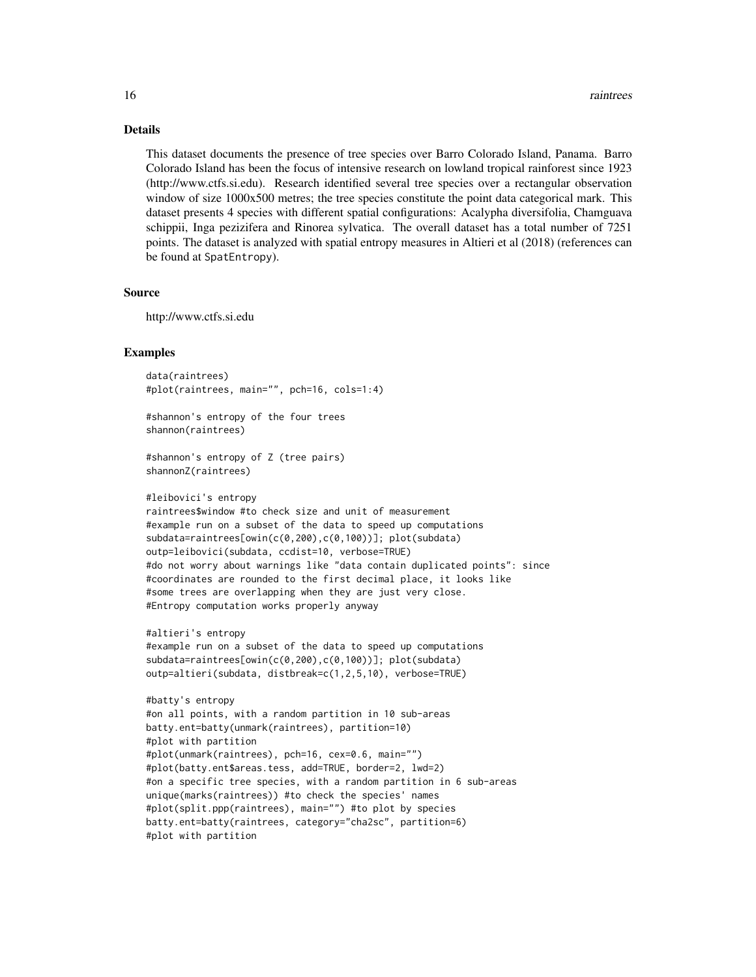#### Details

This dataset documents the presence of tree species over Barro Colorado Island, Panama. Barro Colorado Island has been the focus of intensive research on lowland tropical rainforest since 1923 (http://www.ctfs.si.edu). Research identified several tree species over a rectangular observation window of size 1000x500 metres; the tree species constitute the point data categorical mark. This dataset presents 4 species with different spatial configurations: Acalypha diversifolia, Chamguava schippii, Inga pezizifera and Rinorea sylvatica. The overall dataset has a total number of 7251 points. The dataset is analyzed with spatial entropy measures in Altieri et al (2018) (references can be found at SpatEntropy).

#### Source

http://www.ctfs.si.edu

#### Examples

```
data(raintrees)
#plot(raintrees, main="", pch=16, cols=1:4)
```
#shannon's entropy of the four trees shannon(raintrees)

```
#shannon's entropy of Z (tree pairs)
shannonZ(raintrees)
```

```
#leibovici's entropy
```

```
raintrees$window #to check size and unit of measurement
#example run on a subset of the data to speed up computations
subdata=raintrees[owin(c(0,200),c(0,100))]; plot(subdata)
outp=leibovici(subdata, ccdist=10, verbose=TRUE)
#do not worry about warnings like "data contain duplicated points": since
#coordinates are rounded to the first decimal place, it looks like
#some trees are overlapping when they are just very close.
#Entropy computation works properly anyway
```

```
#altieri's entropy
#example run on a subset of the data to speed up computations
subdata=raintrees[owin(c(0,200),c(0,100))]; plot(subdata)
outp=altieri(subdata, distbreak=c(1,2,5,10), verbose=TRUE)
```

```
#batty's entropy
#on all points, with a random partition in 10 sub-areas
batty.ent=batty(unmark(raintrees), partition=10)
#plot with partition
#plot(unmark(raintrees), pch=16, cex=0.6, main="")
#plot(batty.ent$areas.tess, add=TRUE, border=2, lwd=2)
#on a specific tree species, with a random partition in 6 sub-areas
unique(marks(raintrees)) #to check the species' names
#plot(split.ppp(raintrees), main="") #to plot by species
batty.ent=batty(raintrees, category="cha2sc", partition=6)
#plot with partition
```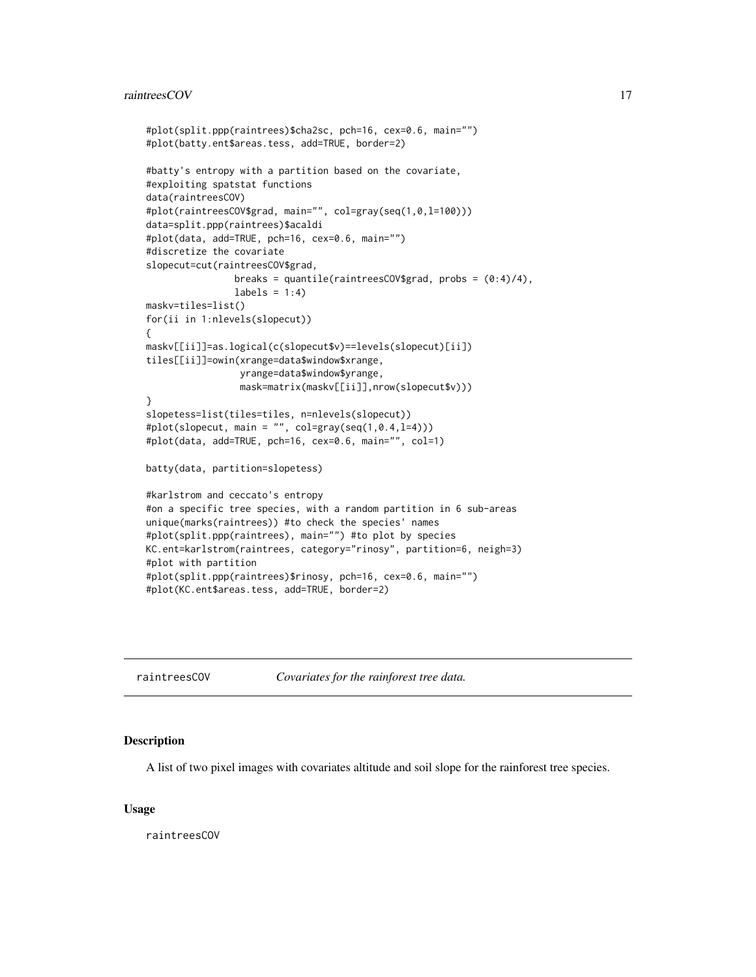#### <span id="page-16-0"></span>raintreesCOV and the state of the state of the state of the state of the state of the state of the state of the state of the state of the state of the state of the state of the state of the state of the state of the state

```
#plot(split.ppp(raintrees)$cha2sc, pch=16, cex=0.6, main="")
#plot(batty.ent$areas.tess, add=TRUE, border=2)
#batty's entropy with a partition based on the covariate,
#exploiting spatstat functions
data(raintreesCOV)
#plot(raintreesCOV$grad, main="", col=gray(seq(1,0,l=100)))
data=split.ppp(raintrees)$acaldi
#plot(data, add=TRUE, pch=16, cex=0.6, main="")
#discretize the covariate
slopecut=cut(raintreesCOV$grad,
                breaks = quantile(raintreesCOV$grad, probs = (0:4)/4),
                labels = 1:4)
maskv=tiles=list()
for(ii in 1:nlevels(slopecut))
{
maskv[[ii]]=as.logical(c(slopecut$v)==levels(slopecut)[ii])
tiles[[ii]]=owin(xrange=data$window$xrange,
                 yrange=data$window$yrange,
                 mask=matrix(maskv[[ii]],nrow(slopecut$v)))
}
slopetess=list(tiles=tiles, n=nlevels(slopecut))
#plot(slopecut, main = "", col=gray(seq(1, 0.4, 1=4)))#plot(data, add=TRUE, pch=16, cex=0.6, main="", col=1)
batty(data, partition=slopetess)
#karlstrom and ceccato's entropy
#on a specific tree species, with a random partition in 6 sub-areas
unique(marks(raintrees)) #to check the species' names
#plot(split.ppp(raintrees), main="") #to plot by species
KC.ent=karlstrom(raintrees, category="rinosy", partition=6, neigh=3)
#plot with partition
#plot(split.ppp(raintrees)$rinosy, pch=16, cex=0.6, main="")
#plot(KC.ent$areas.tess, add=TRUE, border=2)
```

| raintreesCOV | Covariates for the rainforest tree data. |  |  |
|--------------|------------------------------------------|--|--|
|              |                                          |  |  |

#### Description

A list of two pixel images with covariates altitude and soil slope for the rainforest tree species.

#### Usage

raintreesCOV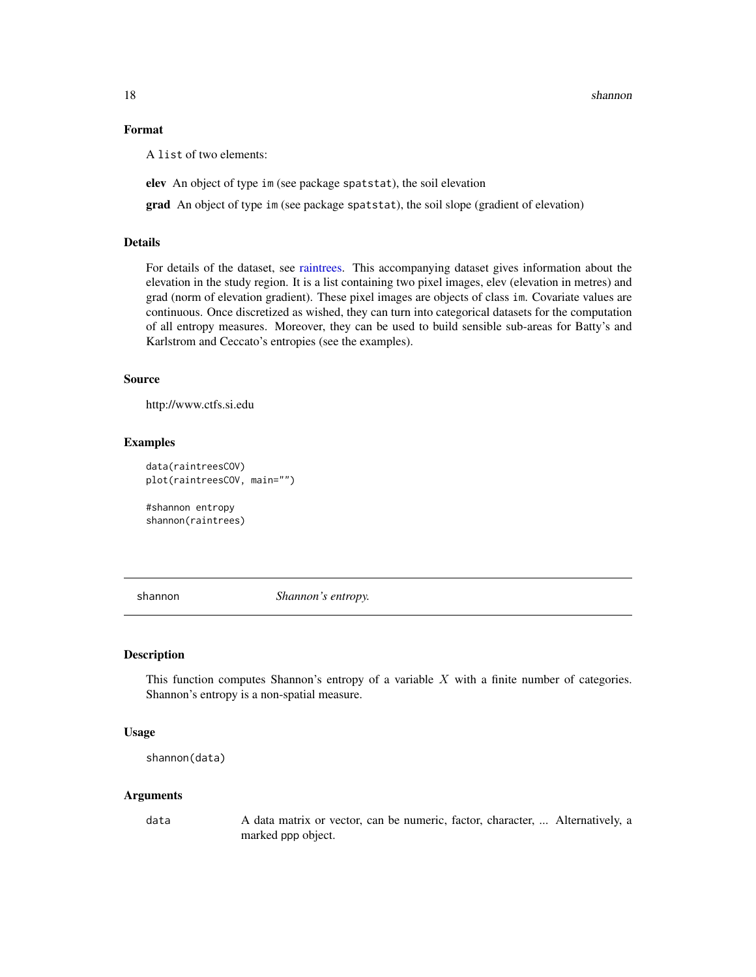#### Format

A list of two elements:

elev An object of type im (see package spatstat), the soil elevation

grad An object of type im (see package spatstat), the soil slope (gradient of elevation)

#### Details

For details of the dataset, see [raintrees.](#page-14-1) This accompanying dataset gives information about the elevation in the study region. It is a list containing two pixel images, elev (elevation in metres) and grad (norm of elevation gradient). These pixel images are objects of class im. Covariate values are continuous. Once discretized as wished, they can turn into categorical datasets for the computation of all entropy measures. Moreover, they can be used to build sensible sub-areas for Batty's and Karlstrom and Ceccato's entropies (see the examples).

#### Source

http://www.ctfs.si.edu

#### Examples

```
data(raintreesCOV)
plot(raintreesCOV, main="")
```
#shannon entropy shannon(raintrees)

<span id="page-17-1"></span>shannon *Shannon's entropy.*

#### Description

This function computes Shannon's entropy of a variable  $X$  with a finite number of categories. Shannon's entropy is a non-spatial measure.

#### Usage

```
shannon(data)
```
#### Arguments

data A data matrix or vector, can be numeric, factor, character, ... Alternatively, a marked ppp object.

<span id="page-17-0"></span>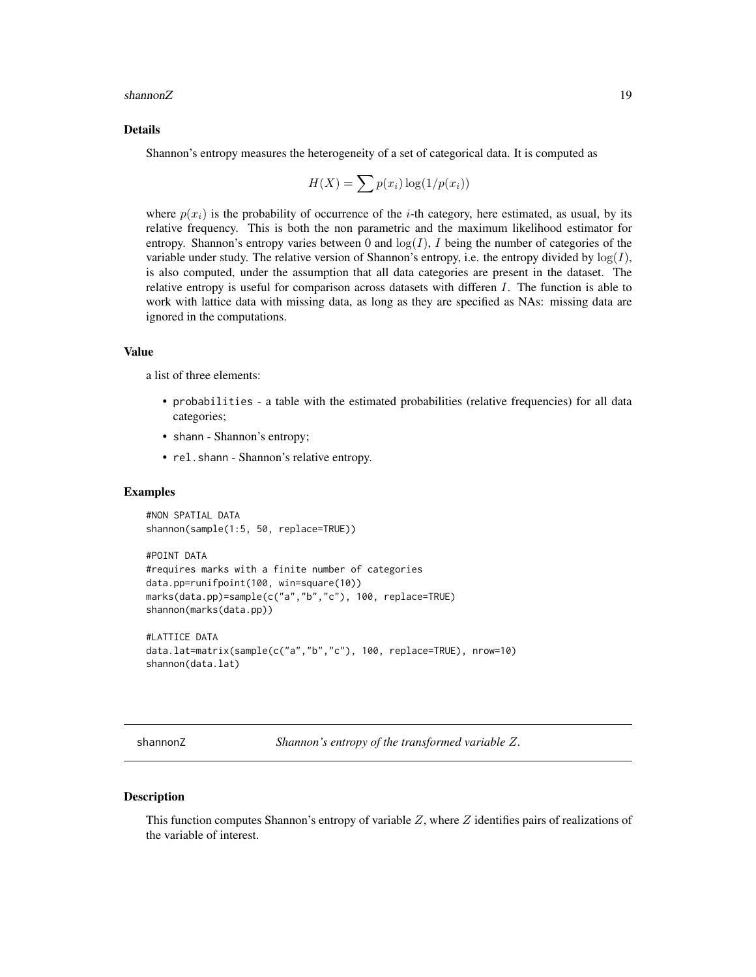#### <span id="page-18-0"></span>shannonZ and the state of the state of the state of the state of the state of the state of the state of the state of the state of the state of the state of the state of the state of the state of the state of the state of t

#### Details

Shannon's entropy measures the heterogeneity of a set of categorical data. It is computed as

$$
H(X) = \sum p(x_i) \log(1/p(x_i))
$$

where  $p(x_i)$  is the probability of occurrence of the *i*-th category, here estimated, as usual, by its relative frequency. This is both the non parametric and the maximum likelihood estimator for entropy. Shannon's entropy varies between 0 and  $log(I)$ , I being the number of categories of the variable under study. The relative version of Shannon's entropy, i.e. the entropy divided by  $log(I)$ , is also computed, under the assumption that all data categories are present in the dataset. The relative entropy is useful for comparison across datasets with differen  $I$ . The function is able to work with lattice data with missing data, as long as they are specified as NAs: missing data are ignored in the computations.

#### Value

a list of three elements:

- probabilities a table with the estimated probabilities (relative frequencies) for all data categories;
- shann Shannon's entropy;
- rel.shann Shannon's relative entropy.

#### Examples

```
#NON SPATIAL DATA
shannon(sample(1:5, 50, replace=TRUE))
#POINT DATA
#requires marks with a finite number of categories
data.pp=runifpoint(100, win=square(10))
marks(data.pp)=sample(c("a","b","c"), 100, replace=TRUE)
shannon(marks(data.pp))
```

```
#LATTICE DATA
data.lat=matrix(sample(c("a","b","c"), 100, replace=TRUE), nrow=10)
shannon(data.lat)
```
<span id="page-18-1"></span>shannonZ *Shannon's entropy of the transformed variable* Z*.*

#### Description

This function computes Shannon's entropy of variable  $Z$ , where  $Z$  identifies pairs of realizations of the variable of interest.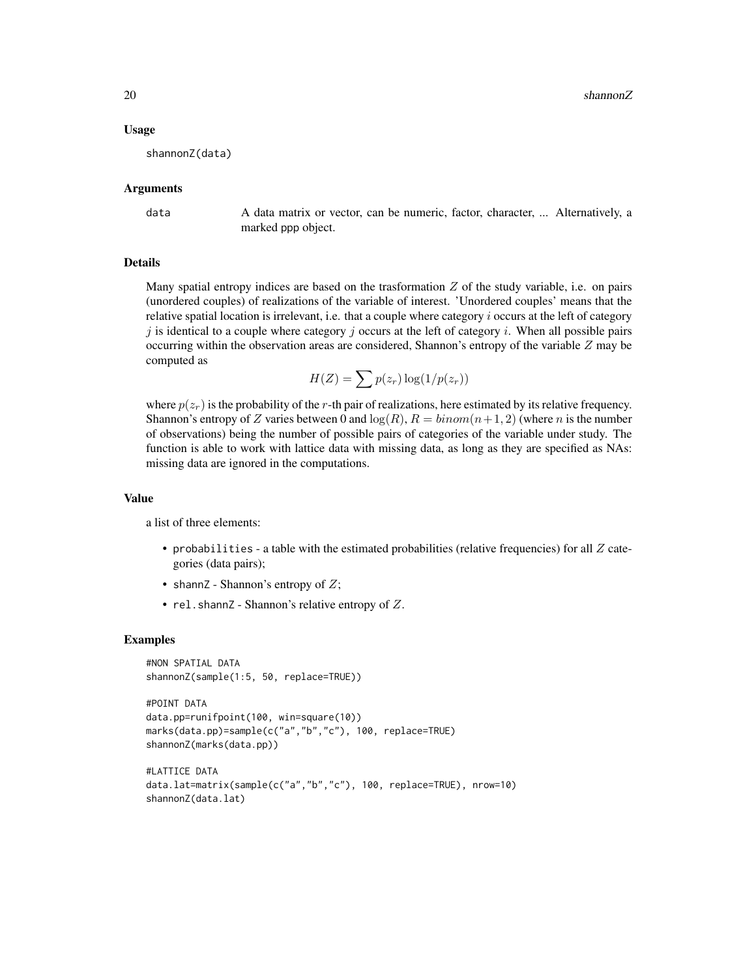#### Usage

shannonZ(data)

#### Arguments

data A data matrix or vector, can be numeric, factor, character, ... Alternatively, a marked ppp object.

#### Details

Many spatial entropy indices are based on the trasformation  $Z$  of the study variable, i.e. on pairs (unordered couples) of realizations of the variable of interest. 'Unordered couples' means that the relative spatial location is irrelevant, i.e. that a couple where category  $i$  occurs at the left of category  $j$  is identical to a couple where category  $j$  occurs at the left of category  $i$ . When all possible pairs occurring within the observation areas are considered, Shannon's entropy of the variable  $Z$  may be computed as

$$
H(Z) = \sum p(z_r) \log(1/p(z_r))
$$

where  $p(z_r)$  is the probability of the r-th pair of realizations, here estimated by its relative frequency. Shannon's entropy of Z varies between 0 and  $\log(R)$ ,  $R = binom(n+1, 2)$  (where n is the number of observations) being the number of possible pairs of categories of the variable under study. The function is able to work with lattice data with missing data, as long as they are specified as NAs: missing data are ignored in the computations.

#### Value

a list of three elements:

- probabilities a table with the estimated probabilities (relative frequencies) for all  $Z$  categories (data pairs);
- shann $Z$  Shannon's entropy of  $Z$ ;
- rel.shannZ Shannon's relative entropy of  $Z$ .

#### Examples

```
#NON SPATIAL DATA
shannonZ(sample(1:5, 50, replace=TRUE))
```

```
#POINT DATA
data.pp=runifpoint(100, win=square(10))
marks(data.pp)=sample(c("a","b","c"), 100, replace=TRUE)
shannonZ(marks(data.pp))
```

```
#LATTICE DATA
data.lat=matrix(sample(c("a","b","c"), 100, replace=TRUE), nrow=10)
shannonZ(data.lat)
```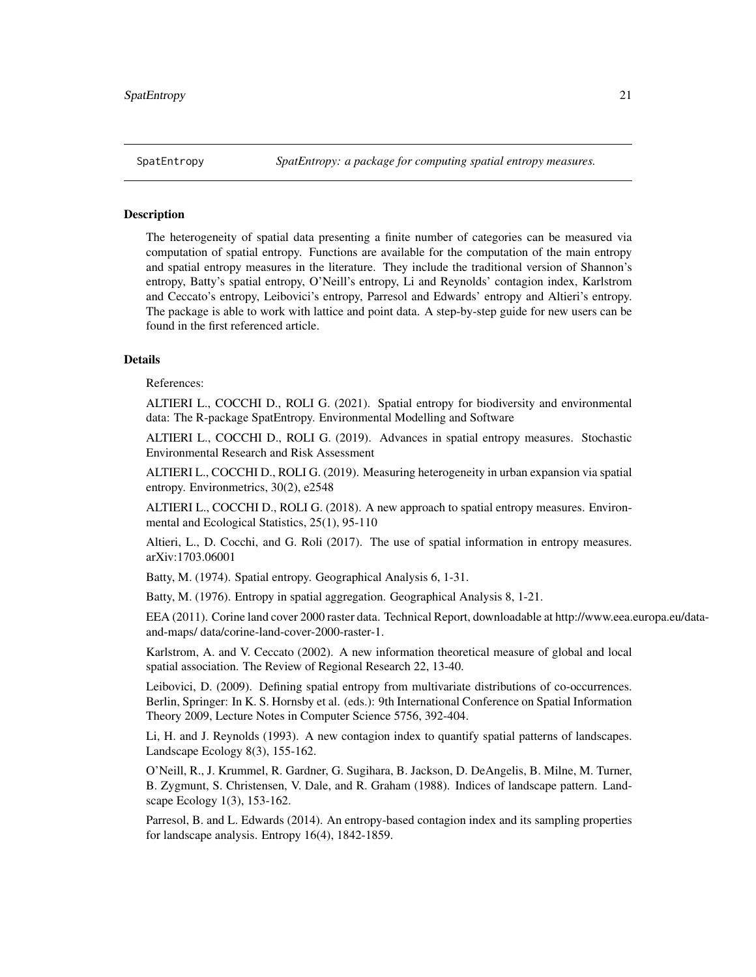<span id="page-20-1"></span><span id="page-20-0"></span>

#### Description

The heterogeneity of spatial data presenting a finite number of categories can be measured via computation of spatial entropy. Functions are available for the computation of the main entropy and spatial entropy measures in the literature. They include the traditional version of Shannon's entropy, Batty's spatial entropy, O'Neill's entropy, Li and Reynolds' contagion index, Karlstrom and Ceccato's entropy, Leibovici's entropy, Parresol and Edwards' entropy and Altieri's entropy. The package is able to work with lattice and point data. A step-by-step guide for new users can be found in the first referenced article.

#### **Details**

References:

ALTIERI L., COCCHI D., ROLI G. (2021). Spatial entropy for biodiversity and environmental data: The R-package SpatEntropy. Environmental Modelling and Software

ALTIERI L., COCCHI D., ROLI G. (2019). Advances in spatial entropy measures. Stochastic Environmental Research and Risk Assessment

ALTIERI L., COCCHI D., ROLI G. (2019). Measuring heterogeneity in urban expansion via spatial entropy. Environmetrics, 30(2), e2548

ALTIERI L., COCCHI D., ROLI G. (2018). A new approach to spatial entropy measures. Environmental and Ecological Statistics, 25(1), 95-110

Altieri, L., D. Cocchi, and G. Roli (2017). The use of spatial information in entropy measures. arXiv:1703.06001

Batty, M. (1974). Spatial entropy. Geographical Analysis 6, 1-31.

Batty, M. (1976). Entropy in spatial aggregation. Geographical Analysis 8, 1-21.

EEA (2011). Corine land cover 2000 raster data. Technical Report, downloadable at http://www.eea.europa.eu/dataand-maps/ data/corine-land-cover-2000-raster-1.

Karlstrom, A. and V. Ceccato (2002). A new information theoretical measure of global and local spatial association. The Review of Regional Research 22, 13-40.

Leibovici, D. (2009). Defining spatial entropy from multivariate distributions of co-occurrences. Berlin, Springer: In K. S. Hornsby et al. (eds.): 9th International Conference on Spatial Information Theory 2009, Lecture Notes in Computer Science 5756, 392-404.

Li, H. and J. Reynolds (1993). A new contagion index to quantify spatial patterns of landscapes. Landscape Ecology 8(3), 155-162.

O'Neill, R., J. Krummel, R. Gardner, G. Sugihara, B. Jackson, D. DeAngelis, B. Milne, M. Turner, B. Zygmunt, S. Christensen, V. Dale, and R. Graham (1988). Indices of landscape pattern. Landscape Ecology 1(3), 153-162.

Parresol, B. and L. Edwards (2014). An entropy-based contagion index and its sampling properties for landscape analysis. Entropy 16(4), 1842-1859.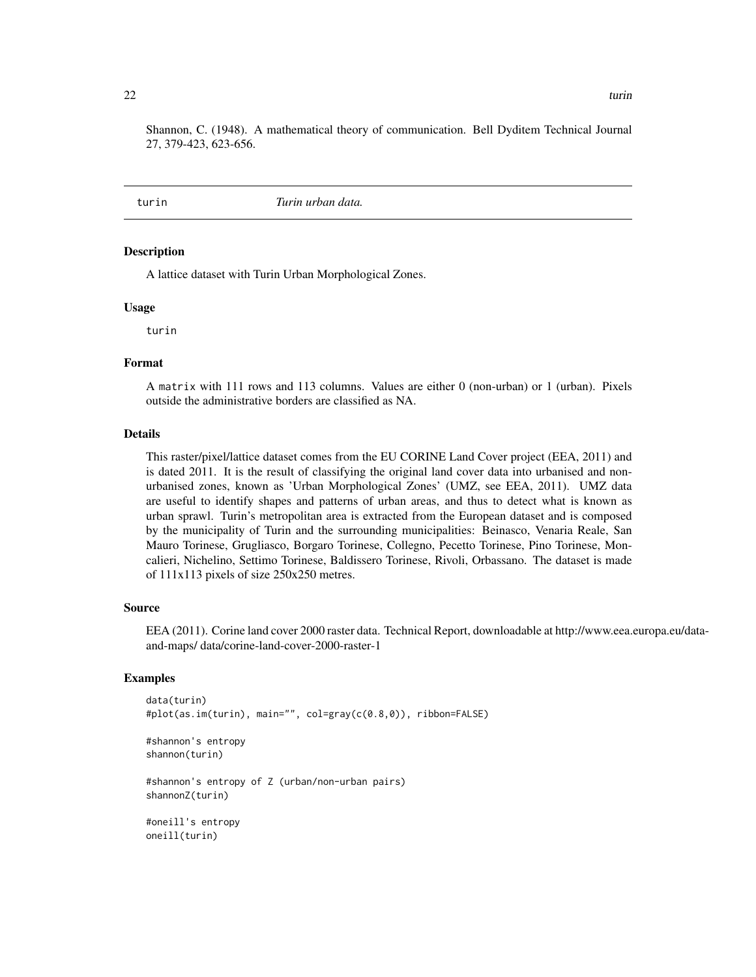<span id="page-21-0"></span>Shannon, C. (1948). A mathematical theory of communication. Bell Dyditem Technical Journal 27, 379-423, 623-656.

<span id="page-21-1"></span>turin *Turin urban data.*

#### Description

A lattice dataset with Turin Urban Morphological Zones.

#### Usage

turin

#### Format

A matrix with 111 rows and 113 columns. Values are either 0 (non-urban) or 1 (urban). Pixels outside the administrative borders are classified as NA.

#### Details

This raster/pixel/lattice dataset comes from the EU CORINE Land Cover project (EEA, 2011) and is dated 2011. It is the result of classifying the original land cover data into urbanised and nonurbanised zones, known as 'Urban Morphological Zones' (UMZ, see EEA, 2011). UMZ data are useful to identify shapes and patterns of urban areas, and thus to detect what is known as urban sprawl. Turin's metropolitan area is extracted from the European dataset and is composed by the municipality of Turin and the surrounding municipalities: Beinasco, Venaria Reale, San Mauro Torinese, Grugliasco, Borgaro Torinese, Collegno, Pecetto Torinese, Pino Torinese, Moncalieri, Nichelino, Settimo Torinese, Baldissero Torinese, Rivoli, Orbassano. The dataset is made of 111x113 pixels of size 250x250 metres.

#### Source

EEA (2011). Corine land cover 2000 raster data. Technical Report, downloadable at http://www.eea.europa.eu/dataand-maps/ data/corine-land-cover-2000-raster-1

#### Examples

```
data(turin)
#plot(as.im(turin), main="", col=gray(c(0.8,0)), ribbon=FALSE)
#shannon's entropy
```

```
shannon(turin)
```
#shannon's entropy of Z (urban/non-urban pairs) shannonZ(turin)

#oneill's entropy oneill(turin)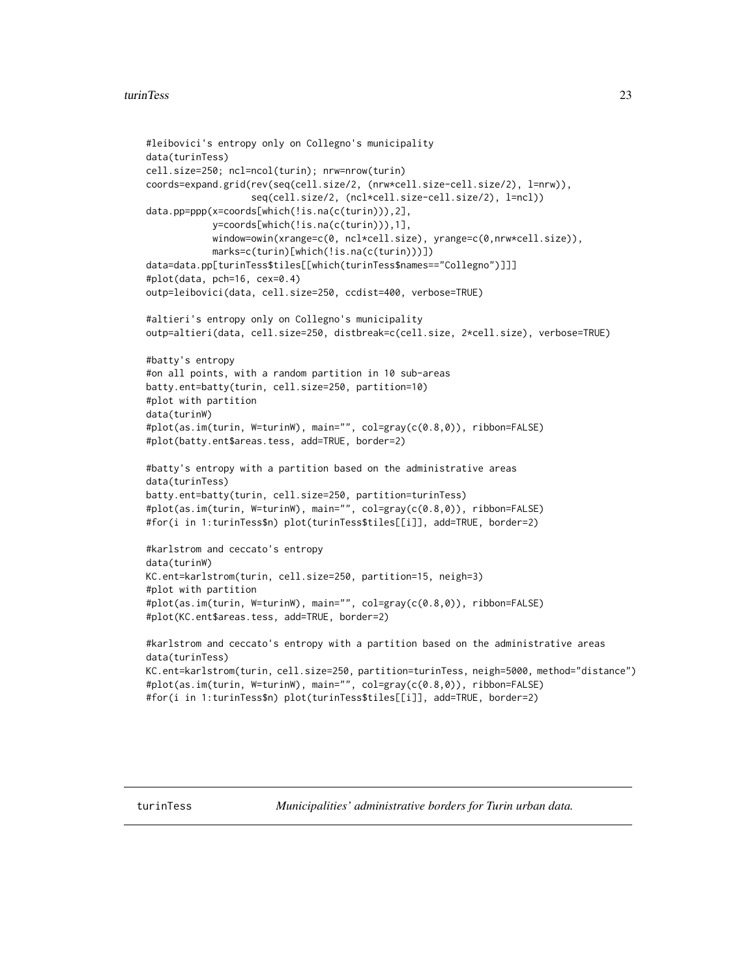```
#leibovici's entropy only on Collegno's municipality
data(turinTess)
cell.size=250; ncl=ncol(turin); nrw=nrow(turin)
coords=expand.grid(rev(seq(cell.size/2, (nrw*cell.size-cell.size/2), l=nrw)),
                   seq(cell.size/2, (ncl*cell.size-cell.size/2), l=ncl))
data.pp=ppp(x=coords[which(!is.na(c(turin))),2],
            y=coords[which(!is.na(c(turin))),1],
            window=owin(xrange=c(0, ncl*cell.size), yrange=c(0,nrw*cell.size)),
            marks=c(turin)[which(!is.na(c(turin)))])
data=data.pp[turinTess$tiles[[which(turinTess$names=="Collegno")]]]
#plot(data, pch=16, cex=0.4)
outp=leibovici(data, cell.size=250, ccdist=400, verbose=TRUE)
#altieri's entropy only on Collegno's municipality
outp=altieri(data, cell.size=250, distbreak=c(cell.size, 2*cell.size), verbose=TRUE)
#batty's entropy
#on all points, with a random partition in 10 sub-areas
batty.ent=batty(turin, cell.size=250, partition=10)
#plot with partition
data(turinW)
#plot(as.im(turin, W=turinW), main="", col=gray(c(0.8,0)), ribbon=FALSE)
#plot(batty.ent$areas.tess, add=TRUE, border=2)
#batty's entropy with a partition based on the administrative areas
data(turinTess)
batty.ent=batty(turin, cell.size=250, partition=turinTess)
#plot(as.im(turin, W=turinW), main="", col=gray(c(0.8,0)), ribbon=FALSE)
#for(i in 1:turinTess$n) plot(turinTess$tiles[[i]], add=TRUE, border=2)
#karlstrom and ceccato's entropy
data(turinW)
KC.ent=karlstrom(turin, cell.size=250, partition=15, neigh=3)
#plot with partition
#plot(as.im(turin, W=turinW), main="", col=gray(c(0.8,0)), ribbon=FALSE)
#plot(KC.ent$areas.tess, add=TRUE, border=2)
#karlstrom and ceccato's entropy with a partition based on the administrative areas
data(turinTess)
KC.ent=karlstrom(turin, cell.size=250, partition=turinTess, neigh=5000, method="distance")
#plot(as.im(turin, W=turinW), main="", col=gray(c(0.8,0)), ribbon=FALSE)
#for(i in 1:turinTess$n) plot(turinTess$tiles[[i]], add=TRUE, border=2)
```
turinTess *Municipalities' administrative borders for Turin urban data.*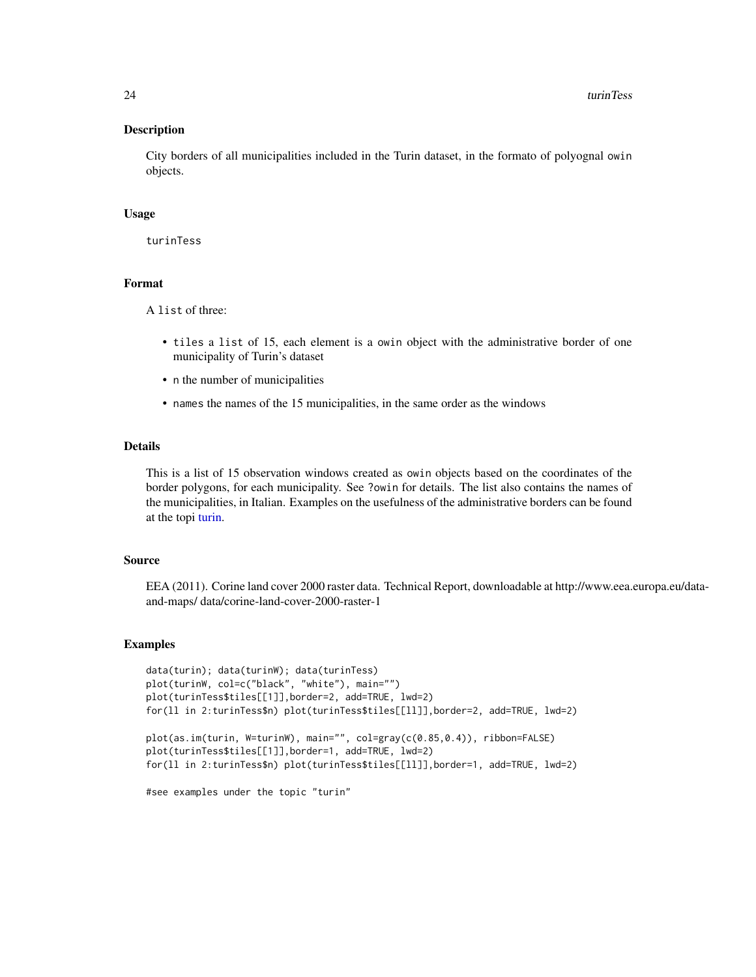#### <span id="page-23-0"></span>Description

City borders of all municipalities included in the Turin dataset, in the formato of polyognal owin objects.

#### Usage

turinTess

#### Format

A list of three:

- tiles a list of 15, each element is a owin object with the administrative border of one municipality of Turin's dataset
- n the number of municipalities
- names the names of the 15 municipalities, in the same order as the windows

#### Details

This is a list of 15 observation windows created as owin objects based on the coordinates of the border polygons, for each municipality. See ?owin for details. The list also contains the names of the municipalities, in Italian. Examples on the usefulness of the administrative borders can be found at the topi [turin.](#page-21-1)

#### Source

EEA (2011). Corine land cover 2000 raster data. Technical Report, downloadable at http://www.eea.europa.eu/dataand-maps/ data/corine-land-cover-2000-raster-1

#### Examples

```
data(turin); data(turinW); data(turinTess)
plot(turinW, col=c("black", "white"), main="")
plot(turinTess$tiles[[1]],border=2, add=TRUE, lwd=2)
for(ll in 2:turinTess$n) plot(turinTess$tiles[[ll]],border=2, add=TRUE, lwd=2)
plot(as.im(turin, W=turinW), main="", col=gray(c(0.85,0.4)), ribbon=FALSE)
plot(turinTess$tiles[[1]],border=1, add=TRUE, lwd=2)
for(ll in 2:turinTess$n) plot(turinTess$tiles[[ll]],border=1, add=TRUE, lwd=2)
```
#see examples under the topic "turin"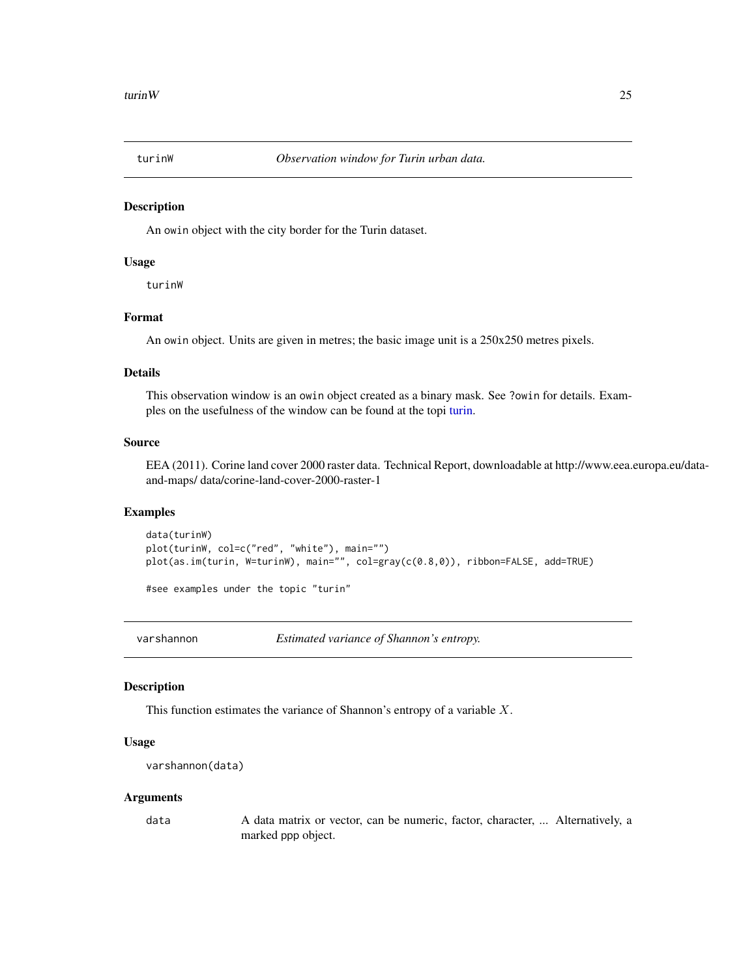<span id="page-24-0"></span>

#### Description

An owin object with the city border for the Turin dataset.

#### Usage

turinW

#### Format

An owin object. Units are given in metres; the basic image unit is a 250x250 metres pixels.

#### Details

This observation window is an owin object created as a binary mask. See ?owin for details. Examples on the usefulness of the window can be found at the topi [turin.](#page-21-1)

#### Source

EEA (2011). Corine land cover 2000 raster data. Technical Report, downloadable at http://www.eea.europa.eu/dataand-maps/ data/corine-land-cover-2000-raster-1

#### Examples

data(turinW) plot(turinW, col=c("red", "white"), main="") plot(as.im(turin, W=turinW), main="", col=gray(c(0.8,0)), ribbon=FALSE, add=TRUE)

#see examples under the topic "turin"

<span id="page-24-1"></span>varshannon *Estimated variance of Shannon's entropy.*

#### Description

This function estimates the variance of Shannon's entropy of a variable  $X$ .

#### Usage

```
varshannon(data)
```
#### Arguments

data A data matrix or vector, can be numeric, factor, character, ... Alternatively, a marked ppp object.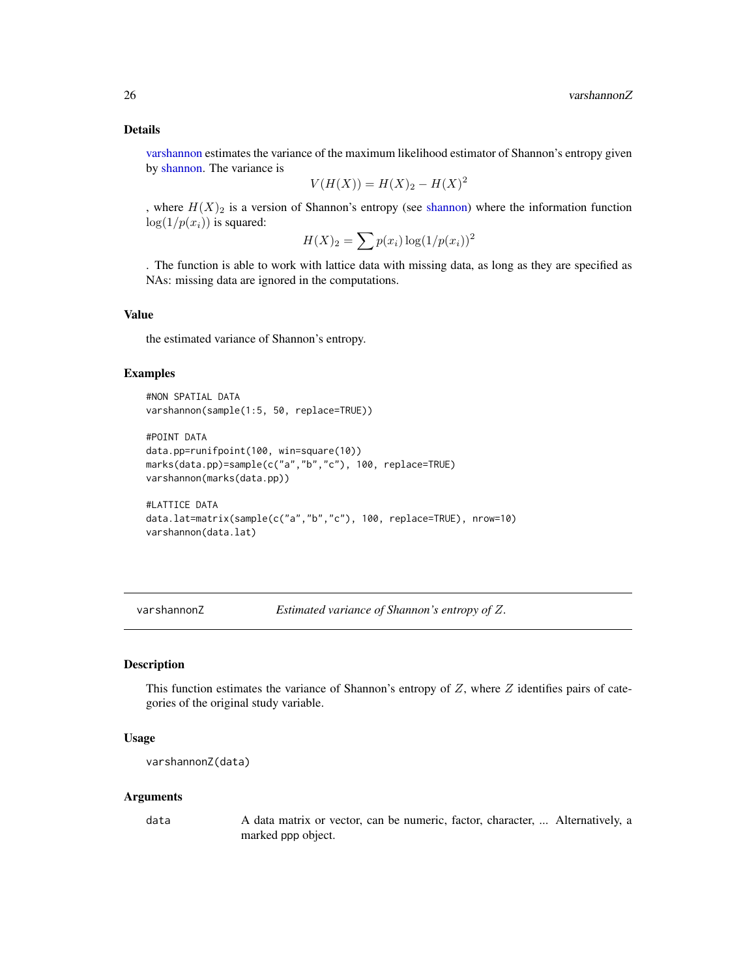<span id="page-25-0"></span>[varshannon](#page-24-1) estimates the variance of the maximum likelihood estimator of Shannon's entropy given by [shannon.](#page-17-1) The variance is

$$
V(H(X)) = H(X)_2 - H(X)^2
$$

, where  $H(X)_2$  is a version of Shannon's entropy (see [shannon\)](#page-17-1) where the information function  $log(1/p(x_i))$  is squared:

$$
H(X)_2 = \sum p(x_i) \log(1/p(x_i))^2
$$

. The function is able to work with lattice data with missing data, as long as they are specified as NAs: missing data are ignored in the computations.

#### Value

the estimated variance of Shannon's entropy.

#### Examples

```
#NON SPATIAL DATA
varshannon(sample(1:5, 50, replace=TRUE))
#POINT DATA
data.pp=runifpoint(100, win=square(10))
marks(data.pp)=sample(c("a","b","c"), 100, replace=TRUE)
varshannon(marks(data.pp))
#LATTICE DATA
data.lat=matrix(sample(c("a","b","c"), 100, replace=TRUE), nrow=10)
varshannon(data.lat)
```
<span id="page-25-1"></span>varshannonZ *Estimated variance of Shannon's entropy of* Z*.*

#### Description

This function estimates the variance of Shannon's entropy of  $Z$ , where  $Z$  identifies pairs of categories of the original study variable.

#### Usage

```
varshannonZ(data)
```
#### Arguments

data A data matrix or vector, can be numeric, factor, character, ... Alternatively, a marked ppp object.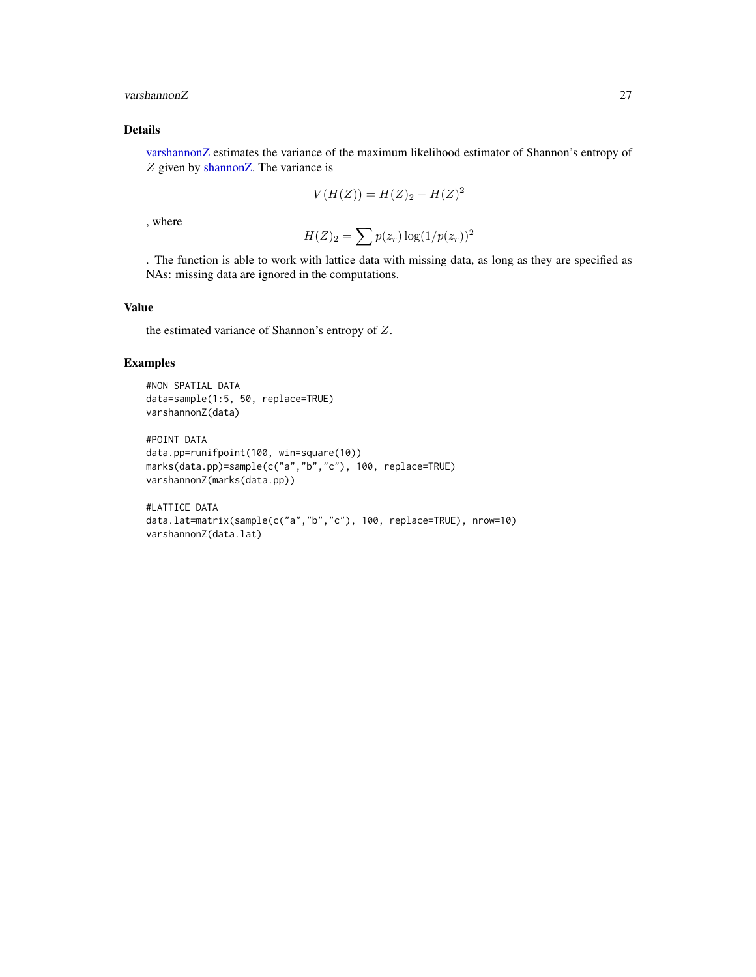#### <span id="page-26-0"></span>varshannonZ 27

#### Details

[varshannonZ](#page-25-1) estimates the variance of the maximum likelihood estimator of Shannon's entropy of Z given by [shannonZ.](#page-18-1) The variance is

$$
V(H(Z)) = H(Z)_2 - H(Z)^2
$$

, where

$$
H(Z)_2 = \sum p(z_r) \log(1/p(z_r))^2
$$

. The function is able to work with lattice data with missing data, as long as they are specified as NAs: missing data are ignored in the computations.

#### Value

the estimated variance of Shannon's entropy of Z.

#### Examples

```
#NON SPATIAL DATA
data=sample(1:5, 50, replace=TRUE)
varshannonZ(data)
```

```
#POINT DATA
data.pp=runifpoint(100, win=square(10))
marks(data.pp)=sample(c("a","b","c"), 100, replace=TRUE)
varshannonZ(marks(data.pp))
```

```
#LATTICE DATA
data.lat=matrix(sample(c("a","b","c"), 100, replace=TRUE), nrow=10)
varshannonZ(data.lat)
```